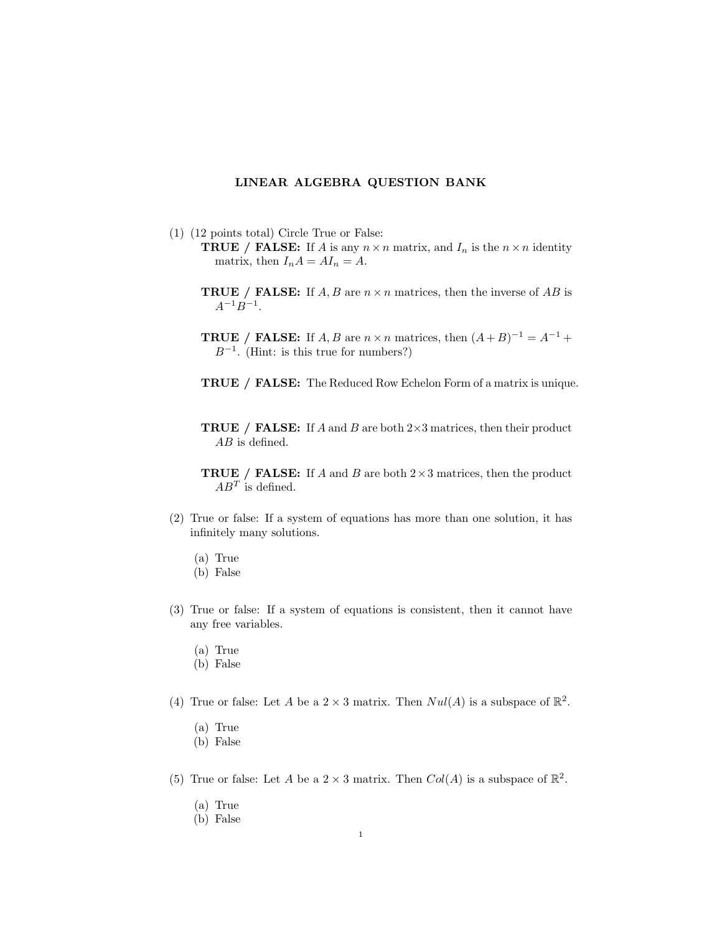## LINEAR ALGEBRA QUESTION BANK

- (1) (12 points total) Circle True or False:
	- **TRUE** / **FALSE:** If A is any  $n \times n$  matrix, and  $I_n$  is the  $n \times n$  identity matrix, then  $I_n A = A I_n = A$ .
	- **TRUE** / **FALSE:** If  $A, B$  are  $n \times n$  matrices, then the inverse of  $AB$  is  $A^{-1}B^{-1}$ .
	- **TRUE** / **FALSE:** If A, B are  $n \times n$  matrices, then  $(A + B)^{-1} = A^{-1} +$  $B^{-1}$ . (Hint: is this true for numbers?)
	- TRUE / FALSE: The Reduced Row Echelon Form of a matrix is unique.
	- **TRUE** / **FALSE:** If A and B are both  $2 \times 3$  matrices, then their product AB is defined.
	- **TRUE** / **FALSE:** If A and B are both  $2 \times 3$  matrices, then the product  $AB^T$  is defined.
- (2) True or false: If a system of equations has more than one solution, it has infinitely many solutions.
	- (a) True
	- (b) False
- (3) True or false: If a system of equations is consistent, then it cannot have any free variables.
	- (a) True
	- (b) False
- (4) True or false: Let A be a  $2 \times 3$  matrix. Then  $Nul(A)$  is a subspace of  $\mathbb{R}^2$ .
	- (a) True
	- (b) False
- (5) True or false: Let A be a  $2 \times 3$  matrix. Then  $Col(A)$  is a subspace of  $\mathbb{R}^2$ .
	- (a) True
	- (b) False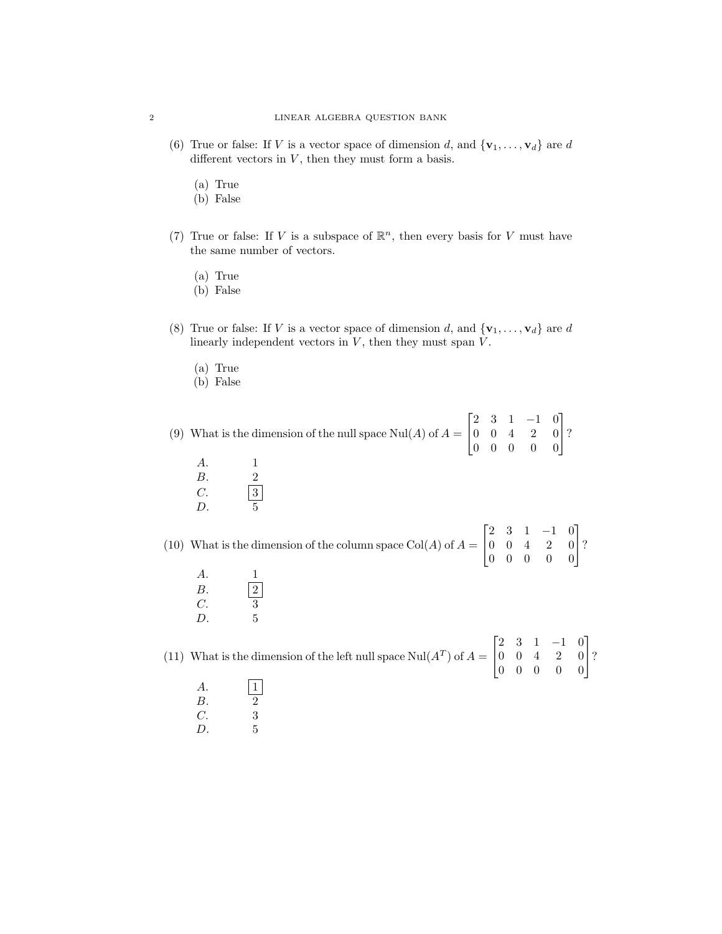- (6) True or false: If V is a vector space of dimension d, and  $\{v_1, \ldots, v_d\}$  are d different vectors in  $V$ , then they must form a basis.
	- (a) True
	- (b) False
- (7) True or false: If V is a subspace of  $\mathbb{R}^n$ , then every basis for V must have the same number of vectors.
	- (a) True
	- (b) False
- (8) True or false: If V is a vector space of dimension d, and  $\{v_1, \ldots, v_d\}$  are d linearly independent vectors in  $V$ , then they must span  $V$ .
	- (a) True
	- (b) False

(9) What is the dimension of the null space  $\text{Nul}(A)$  of  $A =$  $\lceil$  $\overline{1}$ 2 3 1 −1 0  $0 \t 0 \t 4 \t 2 \t 0$ 0 0 0 0 0 1  $\mid$ ?

A. 1 B. 2 C.  $\boxed{3}$ <br>D.  $\boxed{5}$  $D.$ 

(10) What is the dimension of the column space  $Col(A)$  of  $A =$  $\lceil$  $\overline{\phantom{a}}$ 2 3 1 −1 0 0 0 4 2 0 0 0 0 0 0 1  $\mid$ ?

A. 1  $B.$  |2  $C.$  3 D. 5

(11) What is the dimension of the left null space  $\text{Nul}(A^T)$  of  $A =$  $\lceil$  $\overline{\phantom{a}}$ 2 3 1 −1 0 0 0 4 2 0 0 0 0 0 0 1  $\mid$ ?

- $\begin{array}{ccc} A. & & \boxed{1} \\ B. & & \frac{1}{2} \end{array}$  $B$ .
- C. 3
- $D.$  5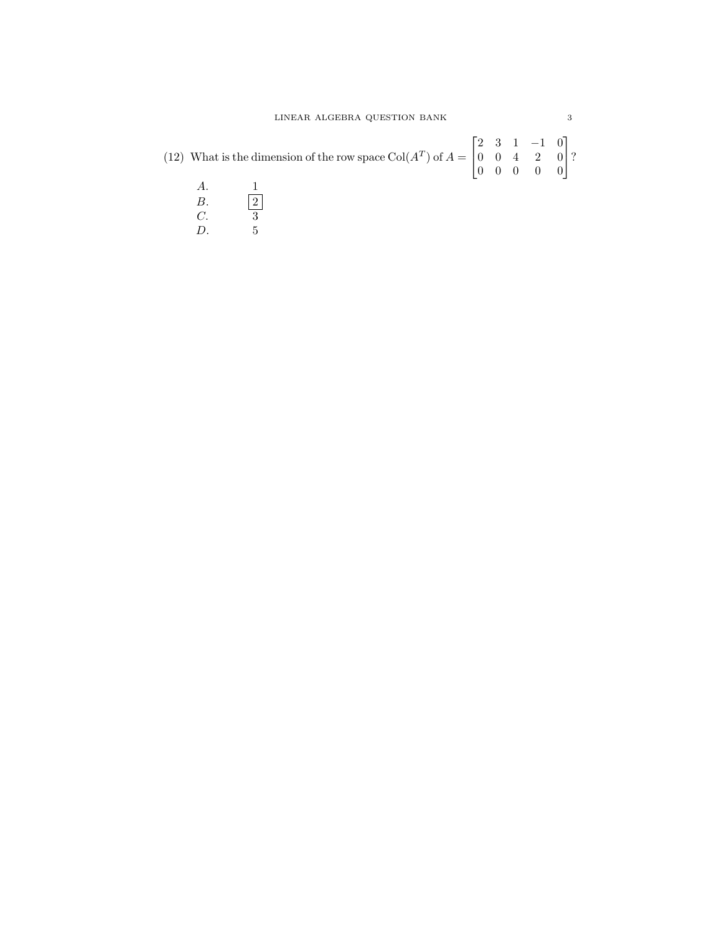|  | (12) What is the dimension of the row space $\text{Col}(A^T)$ of $A = \begin{bmatrix} 2 & 3 & 1 & -1 & 0 \\ 0 & 0 & 4 & 2 & 0 \\ 0 & 0 & 0 & 0 & 0 \end{bmatrix}$ ? |  |  |  |
|--|---------------------------------------------------------------------------------------------------------------------------------------------------------------------|--|--|--|
|  |                                                                                                                                                                     |  |  |  |

- $B.$  |2  $C.$  3  $\begin{array}{ccc} 1.11 & 0.11 & 0.11 \\ C. & 3 & 0.11 \\ D. & 5 & 5 \end{array}$
-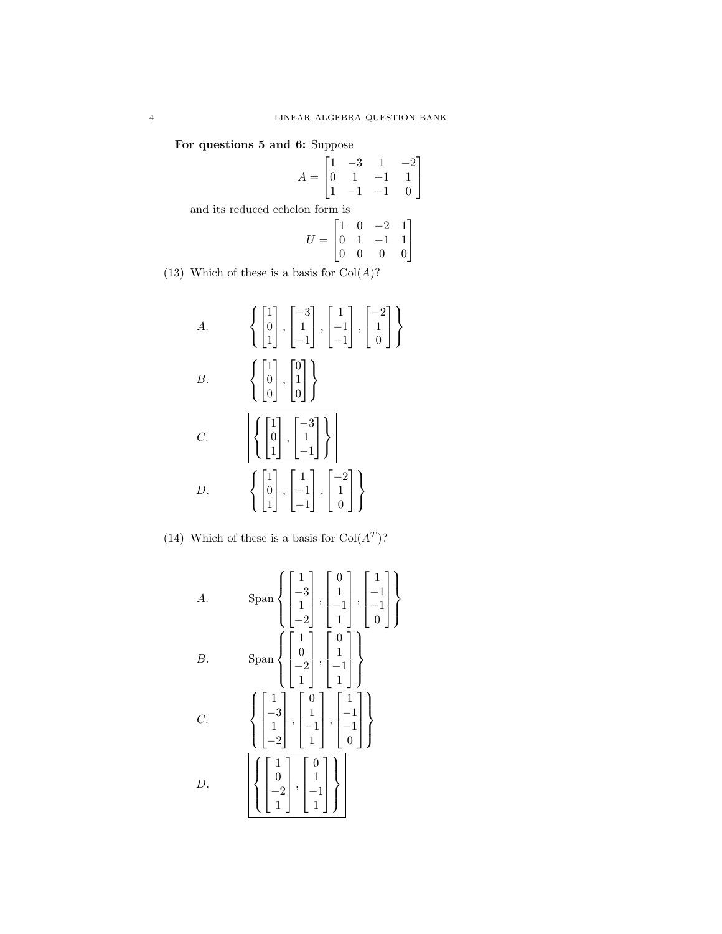For questions 5 and 6: Suppose

$$
A = \begin{bmatrix} 1 & -3 & 1 & -2 \\ 0 & 1 & -1 & 1 \\ 1 & -1 & -1 & 0 \end{bmatrix}
$$
  
and its reduced echelon form is  

$$
U = \begin{bmatrix} 1 & 0 & -2 & 1 \\ 0 & 1 & -1 & 1 \\ 0 & 0 & 0 & 0 \end{bmatrix}
$$

(13) Which of these is a basis for  $Col(A)$ ?

A.
$$
\left\{ \begin{bmatrix} 1 \\ 0 \\ 1 \end{bmatrix}, \begin{bmatrix} -3 \\ 1 \\ -1 \end{bmatrix}, \begin{bmatrix} 1 \\ -1 \\ -1 \end{bmatrix}, \begin{bmatrix} -2 \\ 1 \\ 0 \end{bmatrix} \right\}
$$
  
B.
$$
\left\{ \begin{bmatrix} 1 \\ 0 \\ 0 \end{bmatrix}, \begin{bmatrix} 0 \\ 1 \\ 0 \end{bmatrix} \right\}
$$
  
C.
$$
\left\{ \begin{bmatrix} 1 \\ 0 \\ 1 \end{bmatrix}, \begin{bmatrix} -3 \\ 1 \\ -1 \end{bmatrix} \right\}
$$
  
D.
$$
\left\{ \begin{bmatrix} 1 \\ 0 \\ 1 \end{bmatrix}, \begin{bmatrix} 1 \\ -1 \\ -1 \end{bmatrix}, \begin{bmatrix} -2 \\ 1 \\ 0 \end{bmatrix} \right\}
$$

(14) Which of these is a basis for  $Col(A<sup>T</sup>)$ ?

A. 
$$
\text{Span} \left\{ \begin{bmatrix} 1 \\ -3 \\ 1 \\ -2 \end{bmatrix}, \begin{bmatrix} 0 \\ 1 \\ -1 \\ 1 \end{bmatrix}, \begin{bmatrix} 1 \\ -1 \\ -1 \\ 0 \end{bmatrix} \right\}
$$
  
B. 
$$
\text{Span} \left\{ \begin{bmatrix} 1 \\ 0 \\ -2 \\ 1 \end{bmatrix}, \begin{bmatrix} 0 \\ 1 \\ -1 \\ 1 \end{bmatrix} \right\}
$$
  
C. 
$$
\left\{ \begin{bmatrix} 1 \\ -3 \\ 1 \\ -2 \end{bmatrix}, \begin{bmatrix} 0 \\ 1 \\ -1 \\ 1 \end{bmatrix}, \begin{bmatrix} 1 \\ -1 \\ -1 \\ 0 \end{bmatrix} \right\}
$$
  
D. 
$$
\left[ \begin{bmatrix} 1 \\ -3 \\ 1 \\ -2 \end{bmatrix}, \begin{bmatrix} 0 \\ 1 \\ -1 \\ 1 \end{bmatrix}, \begin{bmatrix} 1 \\ -1 \\ -1 \\ 1 \end{bmatrix} \right]
$$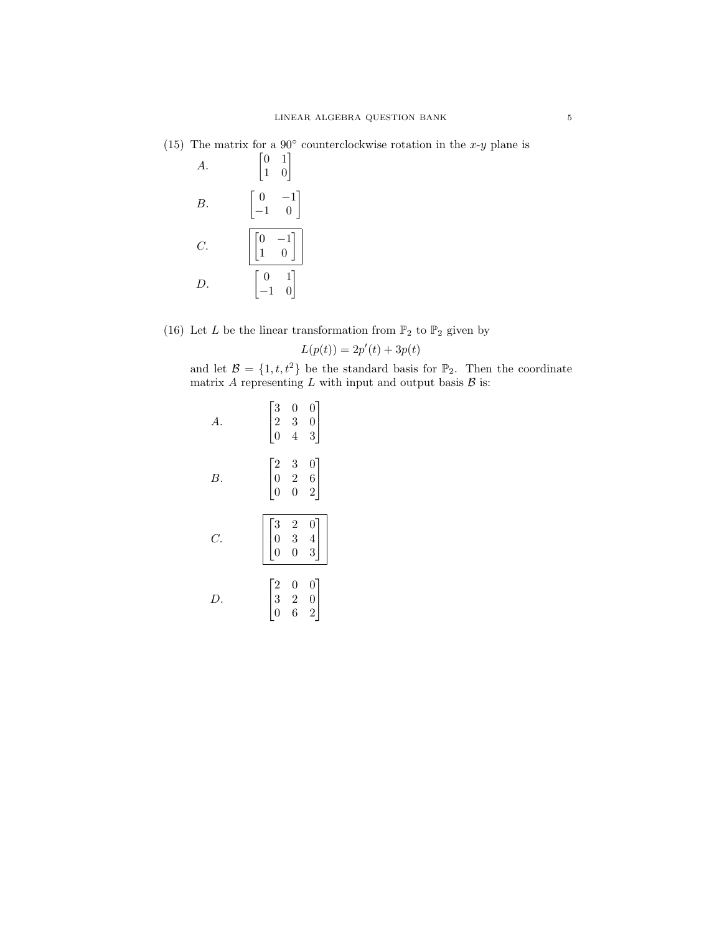(15) The matrix for a  $90^{\circ}$  counterclockwise rotation in the x-y plane is

| $\boldsymbol{A}$ . | $\begin{bmatrix} 0 & 1 \\ 1 & 0 \end{bmatrix}$                         |
|--------------------|------------------------------------------------------------------------|
| B.                 | $\begin{bmatrix} 0 & -1 \\ -1 & 0 \end{bmatrix}$                       |
| $\overline{C}$ .   | $\left\vert \begin{bmatrix} 0 & -1 \\ 1 & 0 \end{bmatrix} \right\vert$ |
| D.                 | $\begin{bmatrix} 0 & 1 \\ -1 & 0 \end{bmatrix}$                        |

(16) Let  $L$  be the linear transformation from  $\mathbb{P}_2$  to  $\mathbb{P}_2$  given by

$$
L(p(t)) = 2p'(t) + 3p(t)
$$

and let  $\mathcal{B} = \{1, t, t^2\}$  be the standard basis for  $\mathbb{P}_2$ . Then the coordinate matrix A representing  $L$  with input and output basis  $\beta$  is:

| А. | $\Big  \begin{matrix} 3 \\ 2 \\ 0 \end{matrix} \Big $ | $\begin{array}{c} 0 \\ 3 \\ 4 \end{array}$ | $\begin{array}{c} 0 \\ 0 \\ 3 \end{array}$ |
|----|-------------------------------------------------------|--------------------------------------------|--------------------------------------------|
| В. | $\begin{bmatrix} 2 \\ 0 \\ 0 \end{bmatrix}$           | $\begin{array}{c} 3 \\ 2 \\ 0 \end{array}$ | $\begin{matrix}0\6\0\end{matrix}$          |
| Ć. | $\begin{bmatrix} 3 \\ 0 \\ 0 \end{bmatrix}$           | $\begin{array}{c} 2 \\ 3 \\ 0 \end{array}$ | $\begin{array}{c} 0 \\ 4 \\ 3 \end{array}$ |
| D. | $\begin{bmatrix} 2 \\ 3 \\ 0 \end{bmatrix}$           | $\begin{array}{c} 0 \\ 2 \\ 6 \end{array}$ | $\begin{matrix}0\0\0\end{matrix}$          |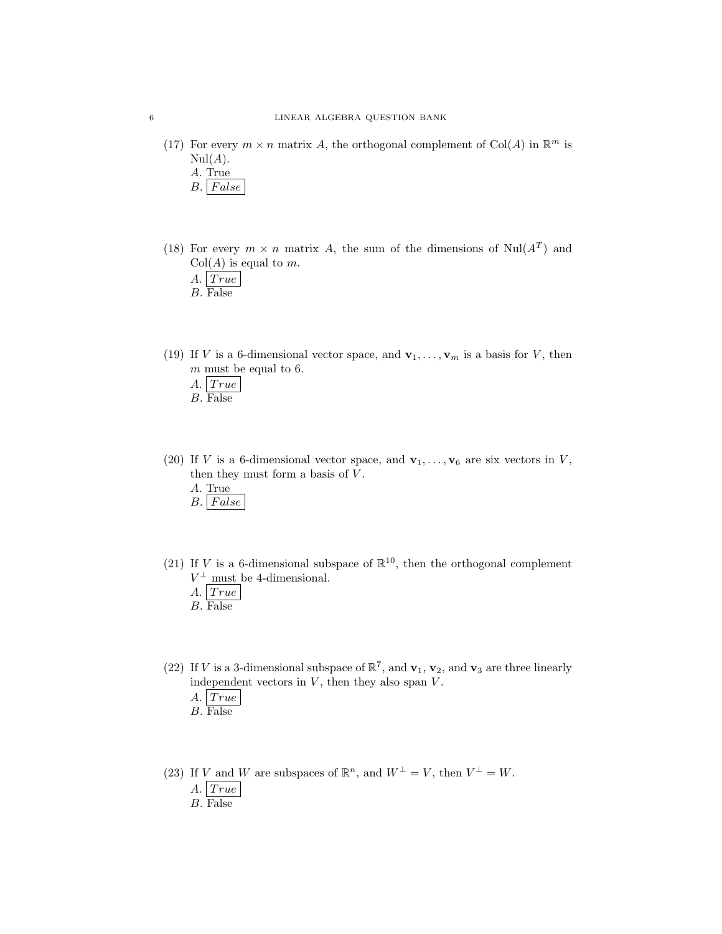- (17) For every  $m \times n$  matrix A, the orthogonal complement of Col(A) in  $\mathbb{R}^m$  is  $Nul(A).$ 
	- A. True
	- $B.$  False
- (18) For every  $m \times n$  matrix A, the sum of the dimensions of Nul( $A<sup>T</sup>$ ) and  $Col(A)$  is equal to m.
	- A.  $| \, True$
	- B. False
- (19) If V is a 6-dimensional vector space, and  $\mathbf{v}_1, \ldots, \mathbf{v}_m$  is a basis for V, then  $m$  must be equal to 6.
	- A.  $| \, True \, |$
	- B. False
- (20) If V is a 6-dimensional vector space, and  $\mathbf{v}_1, \ldots, \mathbf{v}_6$  are six vectors in V, then they must form a basis of  $V$ .
	- A. True
	- $B. | False$
- (21) If V is a 6-dimensional subspace of  $\mathbb{R}^{10}$ , then the orthogonal complement  $V^{\perp}$  must be 4-dimensional.
	- $A.$  True
	- B. False
- (22) If V is a 3-dimensional subspace of  $\mathbb{R}^7$ , and  $\mathbf{v}_1$ ,  $\mathbf{v}_2$ , and  $\mathbf{v}_3$  are three linearly independent vectors in  $V$ , then they also span  $V$ .
	- $A. | True$
	- B. False
- (23) If V and W are subspaces of  $\mathbb{R}^n$ , and  $W^{\perp} = V$ , then  $V^{\perp} = W$ .
	- A.  $| \, True \, |$
	- B. False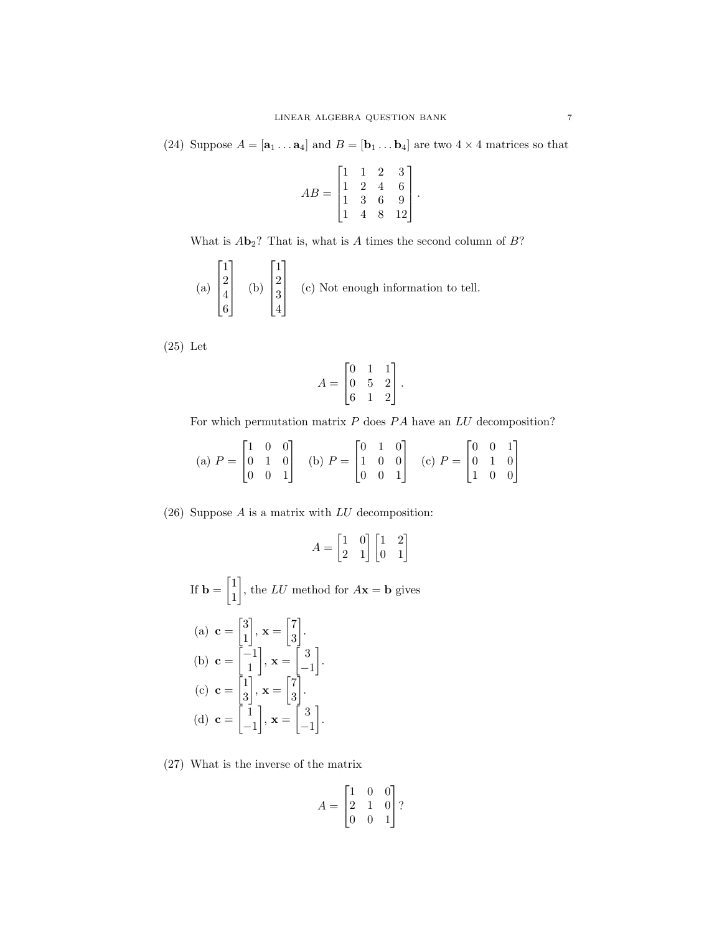(24) Suppose  $A = [\mathbf{a}_1 \dots \mathbf{a}_4]$  and  $B = [\mathbf{b}_1 \dots \mathbf{b}_4]$  are two  $4 \times 4$  matrices so that

$$
AB = \begin{bmatrix} 1 & 1 & 2 & 3 \\ 1 & 2 & 4 & 6 \\ 1 & 3 & 6 & 9 \\ 1 & 4 & 8 & 12 \end{bmatrix}.
$$

What is  $A\mathbf{b}_2$ ? That is, what is A times the second column of  $B$ ?

(a) 
$$
\begin{bmatrix} 1 \\ 2 \\ 4 \\ 6 \end{bmatrix}
$$
 (b)  $\begin{bmatrix} 1 \\ 2 \\ 3 \\ 4 \end{bmatrix}$  (c) Not enough information to tell.

(25) Let

$$
A = \begin{bmatrix} 0 & 1 & 1 \\ 0 & 5 & 2 \\ 6 & 1 & 2 \end{bmatrix}.
$$

For which permutation matrix  $P$  does  $PA$  have an  $LU$  decomposition?

(a) 
$$
P = \begin{bmatrix} 1 & 0 & 0 \\ 0 & 1 & 0 \\ 0 & 0 & 1 \end{bmatrix}
$$
 (b)  $P = \begin{bmatrix} 0 & 1 & 0 \\ 1 & 0 & 0 \\ 0 & 0 & 1 \end{bmatrix}$  (c)  $P = \begin{bmatrix} 0 & 0 & 1 \\ 0 & 1 & 0 \\ 1 & 0 & 0 \end{bmatrix}$ 

(26) Suppose  $A$  is a matrix with  $LU$  decomposition:

$$
A = \begin{bmatrix} 1 & 0 \\ 2 & 1 \end{bmatrix} \begin{bmatrix} 1 & 2 \\ 0 & 1 \end{bmatrix}
$$

If 
$$
\mathbf{b} = \begin{bmatrix} 1 \\ 1 \end{bmatrix}
$$
, the *LU* method for  $A\mathbf{x} = \mathbf{b}$  gives  
\n(a)  $\mathbf{c} = \begin{bmatrix} 3 \\ 1 \end{bmatrix}$ ,  $\mathbf{x} = \begin{bmatrix} 7 \\ 3 \end{bmatrix}$ .  
\n(b)  $\mathbf{c} = \begin{bmatrix} -1 \\ 1 \end{bmatrix}$ ,  $\mathbf{x} = \begin{bmatrix} 3 \\ -1 \end{bmatrix}$ .  
\n(c)  $\mathbf{c} = \begin{bmatrix} 1 \\ 3 \end{bmatrix}$ ,  $\mathbf{x} = \begin{bmatrix} 7 \\ 3 \end{bmatrix}$ .  
\n(d)  $\mathbf{c} = \begin{bmatrix} 1 \\ -1 \end{bmatrix}$ ,  $\mathbf{x} = \begin{bmatrix} 3 \\ -1 \end{bmatrix}$ .

(27) What is the inverse of the matrix

$$
A = \begin{bmatrix} 1 & 0 & 0 \\ 2 & 1 & 0 \\ 0 & 0 & 1 \end{bmatrix}
$$
?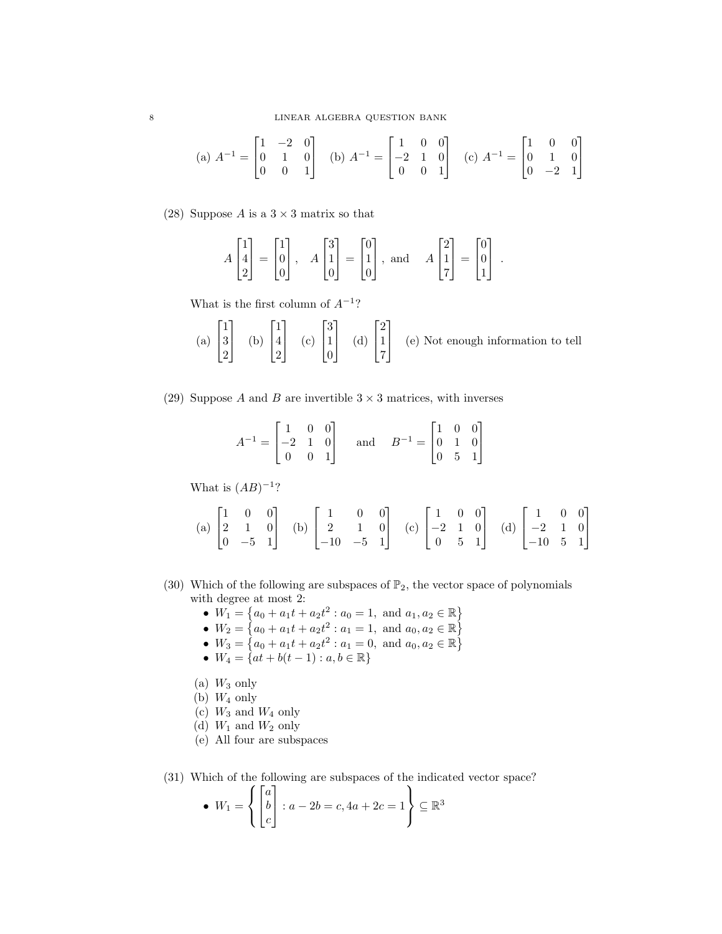(a) 
$$
A^{-1} = \begin{bmatrix} 1 & -2 & 0 \\ 0 & 1 & 0 \\ 0 & 0 & 1 \end{bmatrix}
$$
 (b)  $A^{-1} = \begin{bmatrix} 1 & 0 & 0 \\ -2 & 1 & 0 \\ 0 & 0 & 1 \end{bmatrix}$  (c)  $A^{-1} = \begin{bmatrix} 1 & 0 & 0 \\ 0 & 1 & 0 \\ 0 & -2 & 1 \end{bmatrix}$ 

(28) Suppose A is a  $3 \times 3$  matrix so that

$$
A\begin{bmatrix} 1 \\ 4 \\ 2 \end{bmatrix} = \begin{bmatrix} 1 \\ 0 \\ 0 \end{bmatrix}, \quad A\begin{bmatrix} 3 \\ 1 \\ 0 \end{bmatrix} = \begin{bmatrix} 0 \\ 1 \\ 0 \end{bmatrix}, \text{ and } \quad A\begin{bmatrix} 2 \\ 1 \\ 7 \end{bmatrix} = \begin{bmatrix} 0 \\ 0 \\ 1 \end{bmatrix}.
$$

What is the first column of  $A^{-1}$ ?

(a) 
$$
\begin{bmatrix} 1 \\ 3 \\ 2 \end{bmatrix}
$$
 (b)  $\begin{bmatrix} 1 \\ 4 \\ 2 \end{bmatrix}$  (c)  $\begin{bmatrix} 3 \\ 1 \\ 0 \end{bmatrix}$  (d)  $\begin{bmatrix} 2 \\ 1 \\ 7 \end{bmatrix}$  (e) Not enough information to tell

(29) Suppose A and B are invertible  $3 \times 3$  matrices, with inverses

$$
A^{-1} = \begin{bmatrix} 1 & 0 & 0 \\ -2 & 1 & 0 \\ 0 & 0 & 1 \end{bmatrix} \quad \text{and} \quad B^{-1} = \begin{bmatrix} 1 & 0 & 0 \\ 0 & 1 & 0 \\ 0 & 5 & 1 \end{bmatrix}
$$

What is  $(AB)^{-1}$ ?

(a) 
$$
\begin{bmatrix} 1 & 0 & 0 \\ 2 & 1 & 0 \\ 0 & -5 & 1 \end{bmatrix}
$$
 (b)  $\begin{bmatrix} 1 & 0 & 0 \\ 2 & 1 & 0 \\ -10 & -5 & 1 \end{bmatrix}$  (c)  $\begin{bmatrix} 1 & 0 & 0 \\ -2 & 1 & 0 \\ 0 & 5 & 1 \end{bmatrix}$  (d)  $\begin{bmatrix} 1 & 0 & 0 \\ -2 & 1 & 0 \\ -10 & 5 & 1 \end{bmatrix}$ 

- (30) Which of the following are subspaces of  $\mathbb{P}_2$ , the vector space of polynomials with degree at most 2:
	- $W_1 = \{a_0 + a_1t + a_2t^2 : a_0 = 1, \text{ and } a_1, a_2 \in \mathbb{R}\}\$
	- $W_2 = \{a_0 + a_1t + a_2t^2 : a_1 = 1, \text{ and } a_0, a_2 \in \mathbb{R}\}\$
	- $W_3 = \{a_0 + a_1t + a_2t^2 : a_1 = 0, \text{ and } a_0, a_2 \in \mathbb{R}\}\$
	- $W_4 = \{at + b(t-1) : a, b \in \mathbb{R}\}\$
	- (a)  $W_3$  only
	- (b)  $W_4$  only
	- (c)  $W_3$  and  $W_4$  only
	- (d)  $W_1$  and  $W_2$  only
	- (e) All four are subspaces

(31) Which of the following are subspaces of the indicated vector space?

• 
$$
W_1 = \left\{ \begin{bmatrix} a \\ b \\ c \end{bmatrix} : a - 2b = c, 4a + 2c = 1 \right\} \subseteq \mathbb{R}^3
$$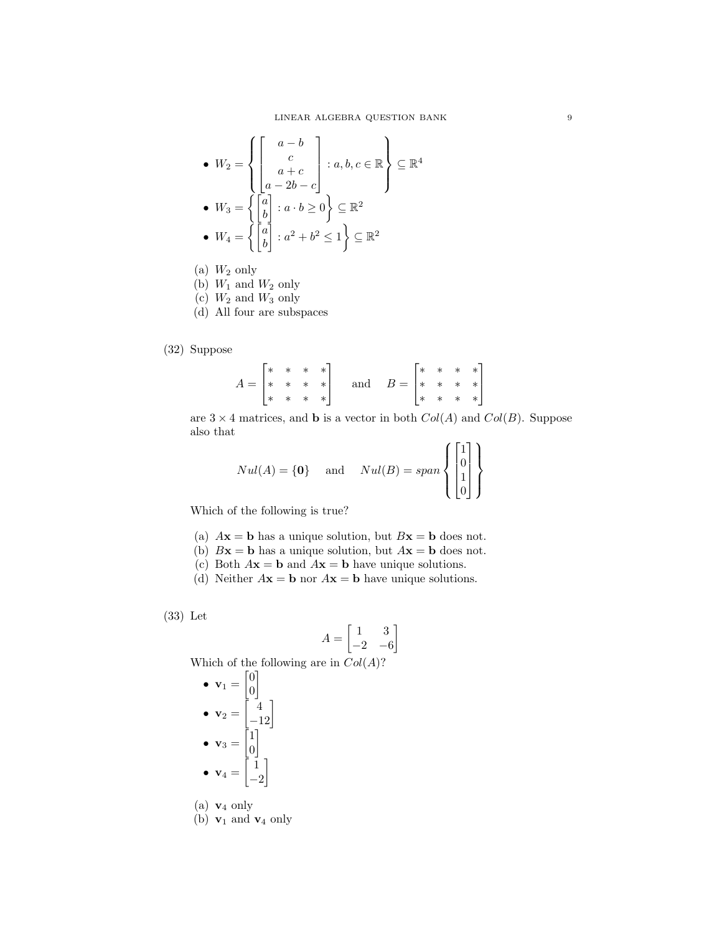• 
$$
W_2 = \left\{ \begin{bmatrix} a - b \\ c \\ a + c \\ a - 2b - c \end{bmatrix} : a, b, c \in \mathbb{R} \right\} \subseteq \mathbb{R}^4
$$
  
\n•  $W_3 = \left\{ \begin{bmatrix} a \\ b \\ b \end{bmatrix} : a \cdot b \ge 0 \right\} \subseteq \mathbb{R}^2$   
\n•  $W_4 = \left\{ \begin{bmatrix} a \\ b \\ b \end{bmatrix} : a^2 + b^2 \le 1 \right\} \subseteq \mathbb{R}^2$ 

- (a)  $W_2$  only
- (b)  $W_1$  and  $W_2$  only
- $(c)$   $W_2$  and  $W_3$  only
- (d) All four are subspaces

# (32) Suppose

$$
A = \begin{bmatrix} * & * & * & * \\ * & * & * & * \\ * & * & * & * \end{bmatrix} \quad \text{and} \quad B = \begin{bmatrix} * & * & * & * \\ * & * & * & * \\ * & * & * & * \end{bmatrix}
$$

are  $3 \times 4$  matrices, and **b** is a vector in both  $Col(A)$  and  $Col(B)$ . Suppose also that

$$
Nul(A) = \{0\} \quad \text{and} \quad Nul(B) = span \left\{ \begin{bmatrix} 1 \\ 0 \\ 1 \\ 0 \end{bmatrix} \right\}
$$

Which of the following is true?

- (a)  $A\mathbf{x} = \mathbf{b}$  has a unique solution, but  $B\mathbf{x} = \mathbf{b}$  does not.
- (b)  $Bx = b$  has a unique solution, but  $Ax = b$  does not.
- (c) Both  $A\mathbf{x} = \mathbf{b}$  and  $A\mathbf{x} = \mathbf{b}$  have unique solutions.
- (d) Neither  $A\mathbf{x} = \mathbf{b}$  nor  $A\mathbf{x} = \mathbf{b}$  have unique solutions.

(33) Let

$$
A = \begin{bmatrix} 1 & 3 \\ -2 & -6 \end{bmatrix}
$$

Which of the following are in  $Col(A)$ ?

\n- $$
\mathbf{v}_1 = \begin{bmatrix} 0 \\ 0 \end{bmatrix}
$$
\n- $\mathbf{v}_2 = \begin{bmatrix} 4 \\ -12 \end{bmatrix}$
\n- $\mathbf{v}_3 = \begin{bmatrix} 1 \\ 0 \end{bmatrix}$
\n- $\mathbf{v}_4 = \begin{bmatrix} 1 \\ -2 \end{bmatrix}$
\n

(a)  $v_4$  only

(b)  $\mathbf{v}_1$  and  $\mathbf{v}_4$  only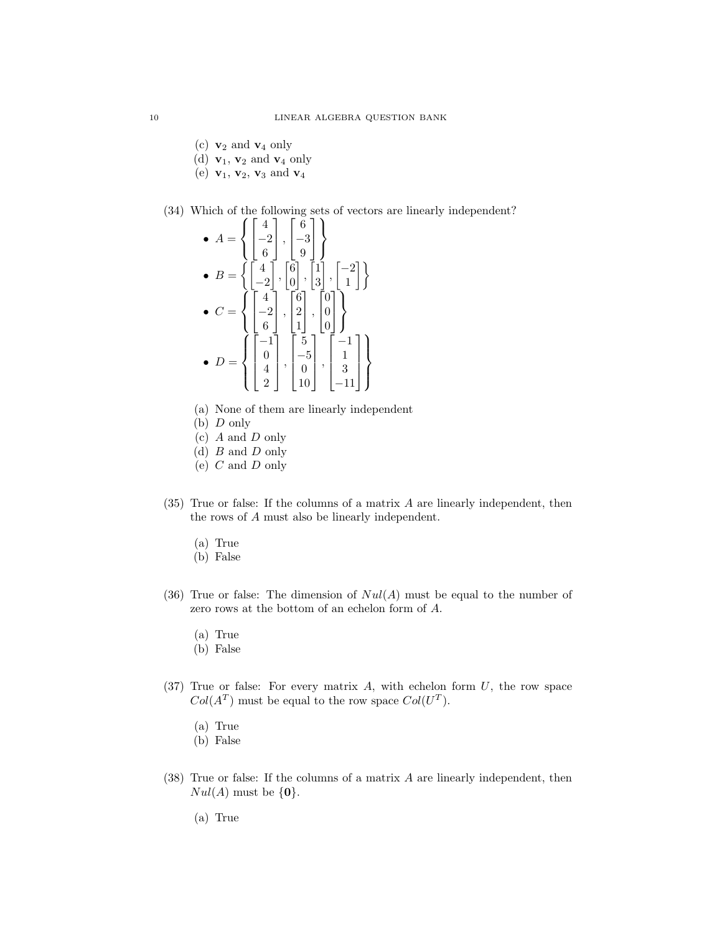- (c)  $\mathbf{v}_2$  and  $\mathbf{v}_4$  only
- (d)  $\mathbf{v}_1$ ,  $\mathbf{v}_2$  and  $\mathbf{v}_4$  only
- (e)  $v_1, v_2, v_3$  and  $v_4$
- (34) Which of the following sets of vectors are linearly independent?

• 
$$
A = \left\{ \begin{bmatrix} 4 \\ -2 \\ 6 \end{bmatrix}, \begin{bmatrix} 6 \\ -3 \\ 9 \\ 9 \end{bmatrix} \right\}
$$
  
\n•  $B = \left\{ \begin{bmatrix} 4 \\ -2 \\ -2 \end{bmatrix}, \begin{bmatrix} 6 \\ 9 \\ 0 \end{bmatrix}, \begin{bmatrix} 1 \\ 3 \\ 3 \end{bmatrix}, \begin{bmatrix} -2 \\ 1 \\ 1 \end{bmatrix} \right\}$   
\n•  $C = \left\{ \begin{bmatrix} 4 \\ -2 \\ 6 \end{bmatrix}, \begin{bmatrix} 6 \\ 2 \\ 1 \end{bmatrix}, \begin{bmatrix} 0 \\ 0 \\ 0 \end{bmatrix} \right\}$   
\n•  $D = \left\{ \begin{bmatrix} -1 \\ 0 \\ 4 \\ 2 \end{bmatrix}, \begin{bmatrix} 5 \\ -5 \\ 0 \\ 10 \end{bmatrix}, \begin{bmatrix} -1 \\ 1 \\ 3 \\ -11 \end{bmatrix} \right\}$ 

- (a) None of them are linearly independent
- $(b)$  D only
- (c) A and D only
- (d) B and D only
- (e)  $C$  and  $D$  only
- (35) True or false: If the columns of a matrix A are linearly independent, then the rows of A must also be linearly independent.
	- (a) True
	- (b) False
- (36) True or false: The dimension of  $Nul(A)$  must be equal to the number of zero rows at the bottom of an echelon form of A.
	- (a) True
	- (b) False
- $(37)$  True or false: For every matrix A, with echelon form U, the row space  $Col(A^T)$  must be equal to the row space  $Col(U^T)$ .
	- (a) True
	- (b) False
- (38) True or false: If the columns of a matrix A are linearly independent, then  $Nul(A)$  must be  $\{0\}.$ 
	- (a) True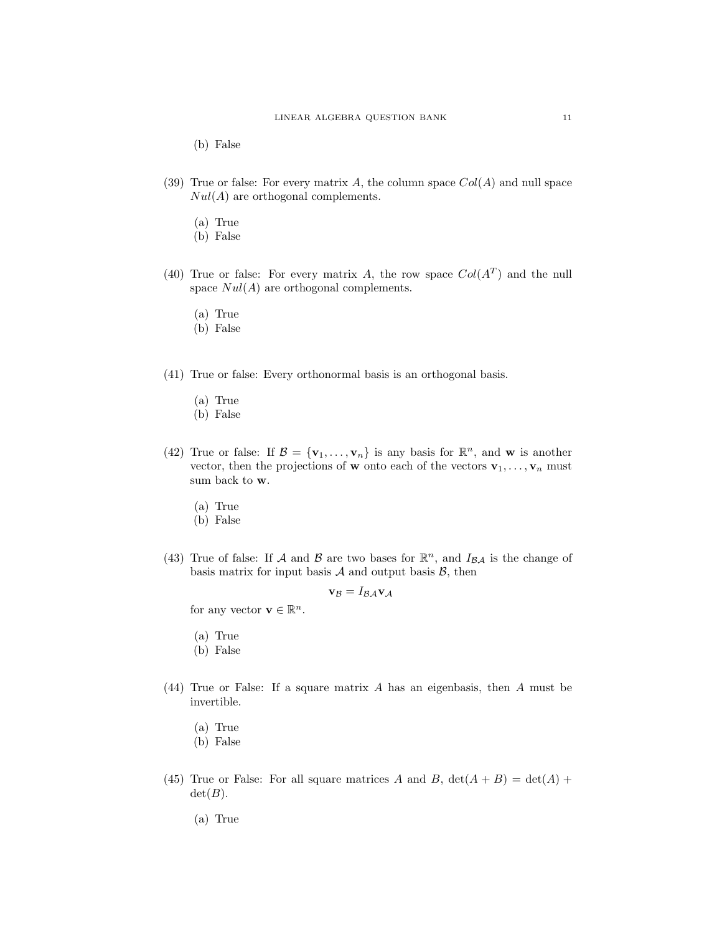(b) False

- (39) True or false: For every matrix A, the column space  $Col(A)$  and null space  $Nul(A)$  are orthogonal complements.
	- (a) True
	- (b) False
- (40) True or false: For every matrix A, the row space  $Col(A^T)$  and the null space  $Nul(A)$  are orthogonal complements.
	- (a) True
	- (b) False
- (41) True or false: Every orthonormal basis is an orthogonal basis.
	- (a) True
	- (b) False
- (42) True or false: If  $\mathcal{B} = {\mathbf{v}_1, \dots, \mathbf{v}_n}$  is any basis for  $\mathbb{R}^n$ , and **w** is another vector, then the projections of **w** onto each of the vectors  $\mathbf{v}_1, \ldots, \mathbf{v}_n$  must sum back to w.
	- (a) True
	- (b) False
- (43) True of false: If A and B are two bases for  $\mathbb{R}^n$ , and  $I_{\mathcal{BA}}$  is the change of basis matrix for input basis  $A$  and output basis  $B$ , then

$$
\mathbf{v}_{\mathcal{B}}=I_{\mathcal{B}\mathcal{A}}\mathbf{v}_{\mathcal{A}}
$$

for any vector  $\mathbf{v} \in \mathbb{R}^n$ .

- (a) True
- (b) False
- (44) True or False: If a square matrix A has an eigenbasis, then A must be invertible.
	- (a) True
	- (b) False
- (45) True or False: For all square matrices A and B,  $det(A + B) = det(A) +$  $det(B)$ .

(a) True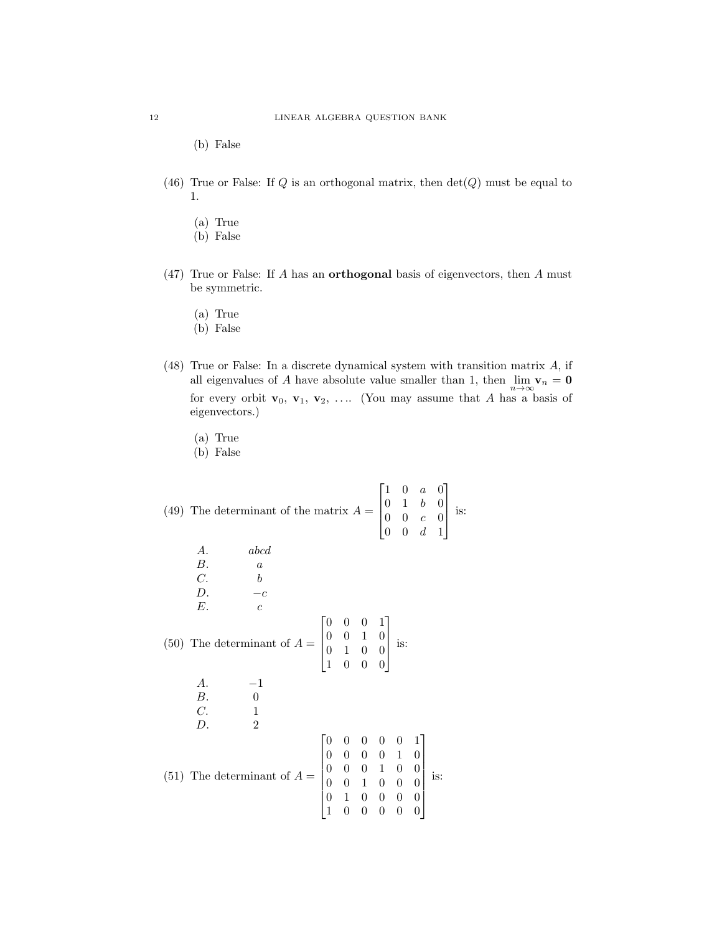(b) False

- (46) True or False: If  $Q$  is an orthogonal matrix, then  $\det(Q)$  must be equal to 1.
	- (a) True
	- (b) False
- $(47)$  True or False: If A has an **orthogonal** basis of eigenvectors, then A must be symmetric.
	- (a) True
	- (b) False
- (48) True or False: In a discrete dynamical system with transition matrix A, if all eigenvalues of A have absolute value smaller than 1, then  $\lim_{n\to\infty}$   $\mathbf{v}_n = \mathbf{0}$ for every orbit  $\mathbf{v}_0, \mathbf{v}_1, \mathbf{v}_2, \ldots$  (You may assume that A has a basis of eigenvectors.)
	- (a) True
	- (b) False

(49) The determinant of the matrix  $A =$  $\lceil$  $\Big\}$ 1 0 a 0 0 1 b 0  $0 \quad 0 \quad c \quad 0$  $0 \t 0 \t d \t 1$ 1  $\begin{matrix} \phantom{-} \end{matrix}$ is: A. abcd  $B.$  a  $C.$  b D.  $-c$  $E.$  c  $(50)$  The determinant of  $A =$  $\lceil$  $\Big\}$ 0 0 0 1 0 0 1 0 0 1 0 0 1 0 0 0 1  $\begin{matrix} \phantom{-} \end{matrix}$ is:  $A.$   $-1$ B. 0  $C.$  1 D. 2  $(51)$  The determinant of  $A =$  0 0 0 0 0 1  $\begin{array}{c} \hline \end{array}$ 0 0 0 0 1 0 0 0 0 1 0 0 0 0 1 0 0 0 0 1 0 0 0 0 1 0 0 0 0 0 1  $\begin{array}{c} \hline \end{array}$ is: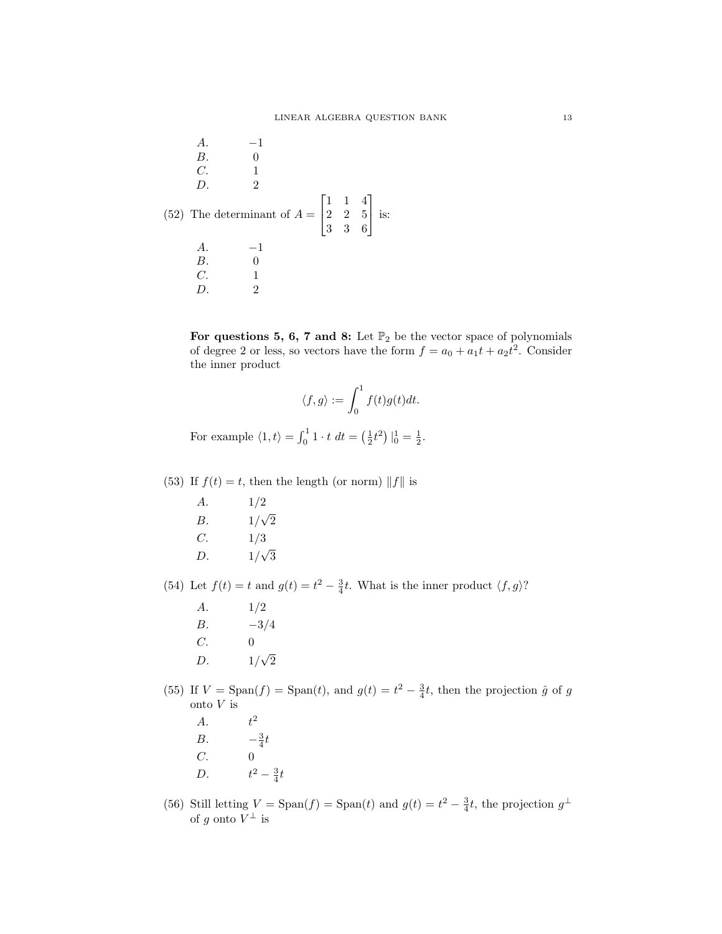A. -1  
\nB. 0  
\nC. 1  
\nD. 2  
\n(52) The determinant of 
$$
A = \begin{bmatrix} 1 & 1 & 4 \\ 2 & 2 & 5 \\ 3 & 3 & 6 \end{bmatrix}
$$
 is:  
\nA. -1  
\nB. 0  
\nC. 1  
\nD. 2

For questions 5, 6, 7 and 8: Let  $\mathbb{P}_2$  be the vector space of polynomials of degree 2 or less, so vectors have the form  $f = a_0 + a_1t + a_2t^2$ . Consider the inner product

$$
\langle f,g\rangle:=\int_0^1f(t)g(t)dt.
$$

For example  $\langle 1, t \rangle = \int_0^1 1 \cdot t \, dt = \left(\frac{1}{2}t^2\right) \Big|_0^1 = \frac{1}{2}.$ 

(53) If  $f(t) = t$ , then the length (or norm) ||f|| is

A. 1/2  $B.$  1/ √  $\overline{2}$  $C. 1/3$  $D.$  1/ √ 3

(54) Let  $f(t) = t$  and  $g(t) = t^2 - \frac{3}{4}t$ . What is the inner product  $\langle f, g \rangle$ ?

- A. 1/2  $B. \t -3/4$  $C. 0$  $D.$ √  $\overline{2}$
- (55) If  $V = \text{Span}(f) = \text{Span}(t)$ , and  $g(t) = t^2 \frac{3}{4}t$ , then the projection  $\hat{g}$  of g onto  ${\cal V}$  is
	- $A.$   $t^2$  $B$ .  $rac{3}{4}t$  $C.$  0 D.  $t^2 - \frac{3}{4}t$
- (56) Still letting  $V = \text{Span}(f) = \text{Span}(t)$  and  $g(t) = t^2 \frac{3}{4}t$ , the projection  $g^{\perp}$ of g onto  $V^{\perp}$  is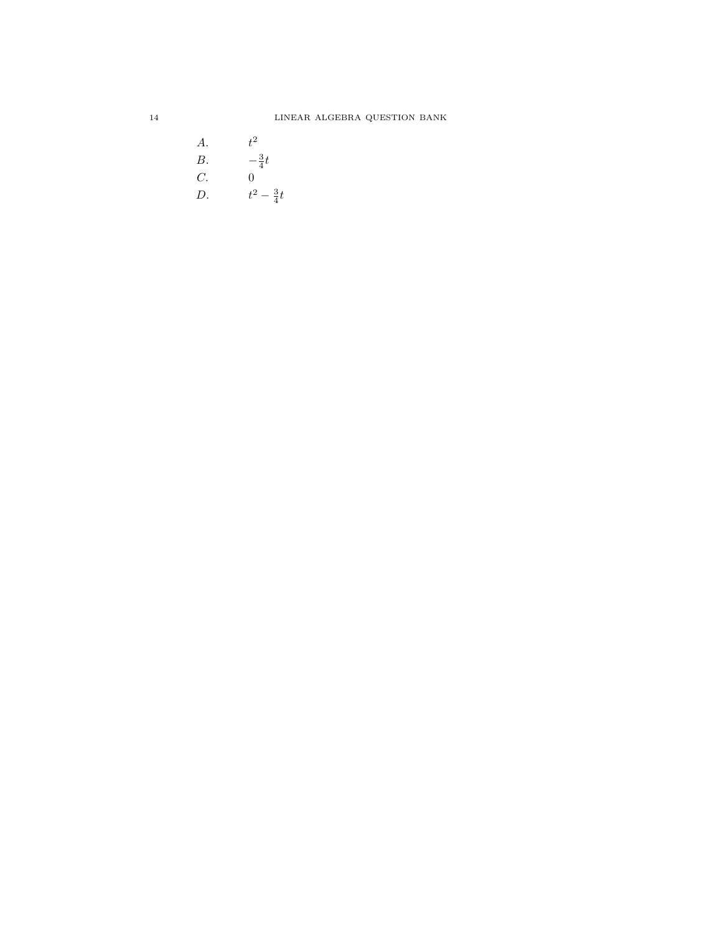A.  $t^2$ B.  $-\frac{3}{4}t$  $C.$  0 D.  $t^2 - \frac{3}{4}t$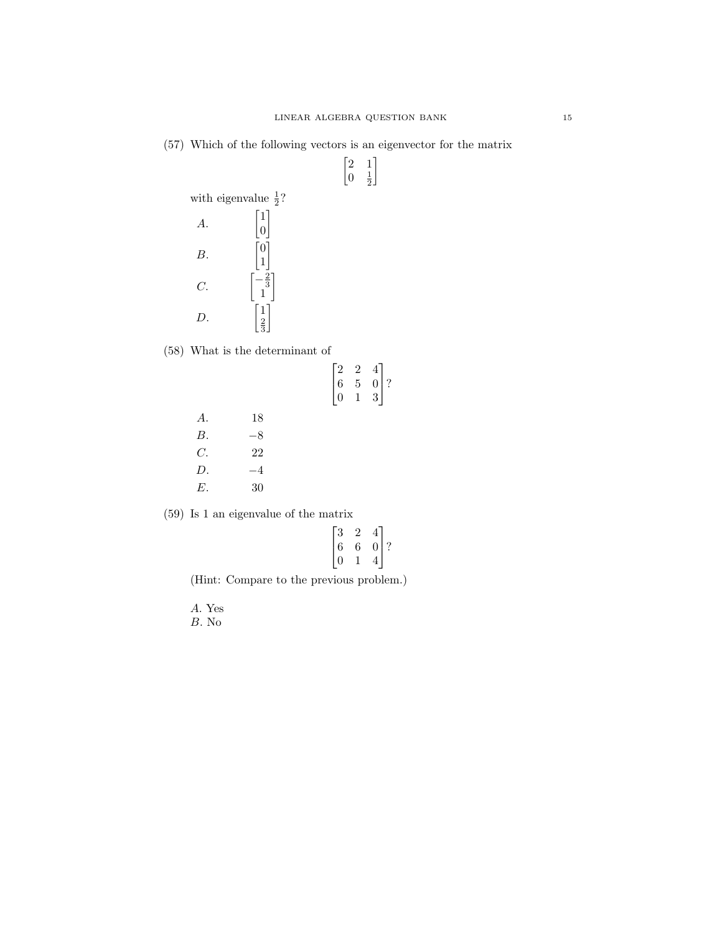$\begin{bmatrix} 2 & 1 \end{bmatrix}$  $0 \frac{1}{2}$ 1

(57) Which of the following vectors is an eigenvector for the matrix

with eigenvalue  $\frac{1}{2}$ ? A. 1 0 1 B.  $\overline{0}$ 1 1 C.  $-\frac{2}{3}$ <br>1 1 D. 1 2 3 1

(58) What is the determinant of

A. 18  $B.$   $-8$  $C.$  22  $D.$   $-4$ E. 30

| $\begin{bmatrix} 2 \ 6 \ 0 \end{bmatrix}$ | $\begin{array}{c} 2 \\ 5 \\ 1 \end{array}$ | $\begin{array}{c} 4 \\ 0 \\ 3 \end{array}$ |
|-------------------------------------------|--------------------------------------------|--------------------------------------------|
|                                           |                                            |                                            |
|                                           |                                            |                                            |
|                                           |                                            |                                            |
|                                           |                                            |                                            |

(59) Is 1 an eigenvalue of the matrix

| 3 | 2 |               |  |
|---|---|---------------|--|
| 6 | 6 | $\frac{4}{0}$ |  |
| 0 |   | 4             |  |

1  $\mid$ ?

(Hint: Compare to the previous problem.)

A. Yes  $\boldsymbol{B}.$  No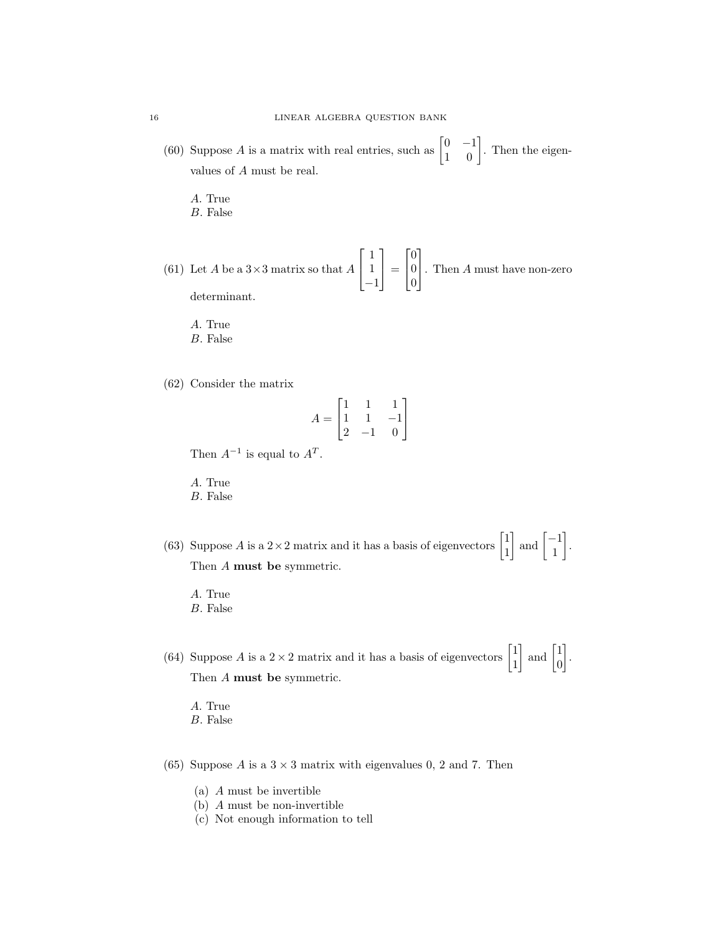- (60) Suppose A is a matrix with real entries, such as  $\begin{bmatrix} 0 & -1 \\ 1 & 0 \end{bmatrix}$ . Then the eigenvalues of A must be real.
	- A. True
	- B. False
- (61) Let A be a  $3\times 3$  matrix so that A  $\lceil$  $\overline{1}$ 1 1 −1 1  $\vert$  =  $\lceil$  $\overline{1}$  $\overline{0}$ 0 0 1 . Then <sup>A</sup> must have non-zero determinant.
	- A. True
	- B. False
- (62) Consider the matrix

$$
A = \begin{bmatrix} 1 & 1 & 1 \\ 1 & 1 & -1 \\ 2 & -1 & 0 \end{bmatrix}
$$

Then  $A^{-1}$  is equal to  $A^T$ .

A. True

- B. False
- (63) Suppose A is a  $2 \times 2$  matrix and it has a basis of eigenvectors  $\begin{bmatrix} 1 \\ 1 \end{bmatrix}$ 1  $\Big]$  and  $\Big[ \frac{-1}{1} \Big]$ 1 . Then A must be symmetric.
	- A. True
	- B. False
- (64) Suppose A is a  $2 \times 2$  matrix and it has a basis of eigenvectors  $\begin{bmatrix} 1 \\ 1 \end{bmatrix}$ 1  $\Big]$  and  $\Big[$ <sup>1</sup>  $\overline{0}$  . Then A must be symmetric.
	- A. True B. False
- (65) Suppose A is a  $3 \times 3$  matrix with eigenvalues 0, 2 and 7. Then
	- (a) A must be invertible
	- (b) A must be non-invertible
	- (c) Not enough information to tell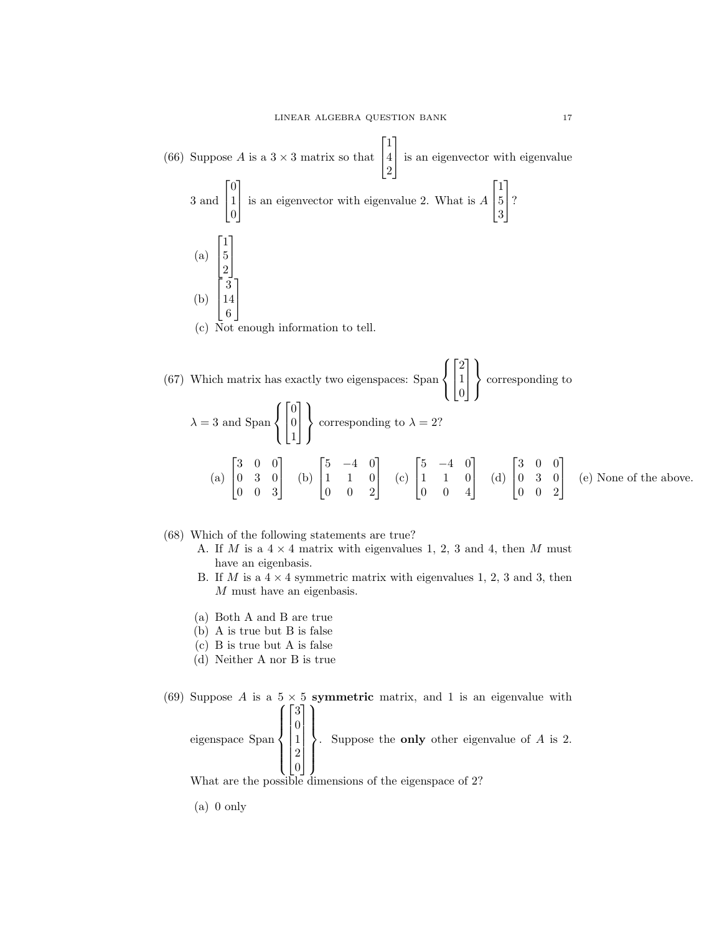(66) Suppose A is a  $3 \times 3$  matrix so that  $\sqrt{ }$  $\overline{1}$ 1 4 2 1 is an eigenvector with eigenvalue 3 and  $\lceil$  $\overline{1}$  $\overline{0}$ 1  $\overline{0}$ 1 is an eigenvector with eigenvalue 2. What is <sup>A</sup>  $\lceil$  $\overline{1}$ 1 5 3 1  $\mid$ ? (a)  $\lceil$  $\overline{\phantom{a}}$ 1 5 2 1  $\perp$ (b)  $\lceil$  $\overline{\phantom{a}}$ 3 14 6 1  $\overline{1}$ (c) Not enough information to tell.

(67) Which matrix has exactly two eigenspaces: Span  $\sqrt{ }$ J  $\mathcal{L}$  $\sqrt{ }$  $\overline{1}$ 2 1 0 1  $\vert$  $\mathcal{L}$  $\mathcal{L}$ J corresponding to  $\lambda = 3$  and Span  $\sqrt{ }$  $\int$  $\mathcal{L}$  $\lceil$  $\overline{1}$  $\overline{0}$ 0 1 1  $\overline{1}$  $\mathcal{L}$  $\mathcal{L}$ J corresponding to  $\lambda = 2$ ? (a)  $\lceil$  $\overline{\phantom{a}}$ 3 0 0 0 3 0 0 0 3 1  $\vert$  (b)  $\lceil$  $\overline{1}$  $5 -4 0$ 1 1 0 0 0 2 1  $\vert$  (c)  $\lceil$  $\overline{1}$  $5 -4 0$ 1 1 0 0 0 4 1  $\Big|$  (d)  $\lceil$  $\overline{\phantom{a}}$ 3 0 0 0 3 0 0 0 2 1 (e) None of the above.

### (68) Which of the following statements are true?

- A. If M is a  $4 \times 4$  matrix with eigenvalues 1, 2, 3 and 4, then M must have an eigenbasis.
- B. If M is a  $4 \times 4$  symmetric matrix with eigenvalues 1, 2, 3 and 3, then M must have an eigenbasis.
- (a) Both A and B are true
- (b) A is true but B is false
- (c) B is true but A is false
- (d) Neither A nor B is true

#### (69) Suppose A is a  $5 \times 5$  symmetric matrix, and 1 is an eigenvalue with  $\sqrt{ }$  $\lceil$ 3 1  $\mathcal{L}$

eigenspace Span  $\int$  $\overline{\mathcal{L}}$   $\overline{0}$ 1 2  $\overline{0}$   $\overline{\mathcal{L}}$  $\int$ . Suppose the only other eigenvalue of A is 2.

What are the possible dimensions of the eigenspace of 2?

(a) 0 only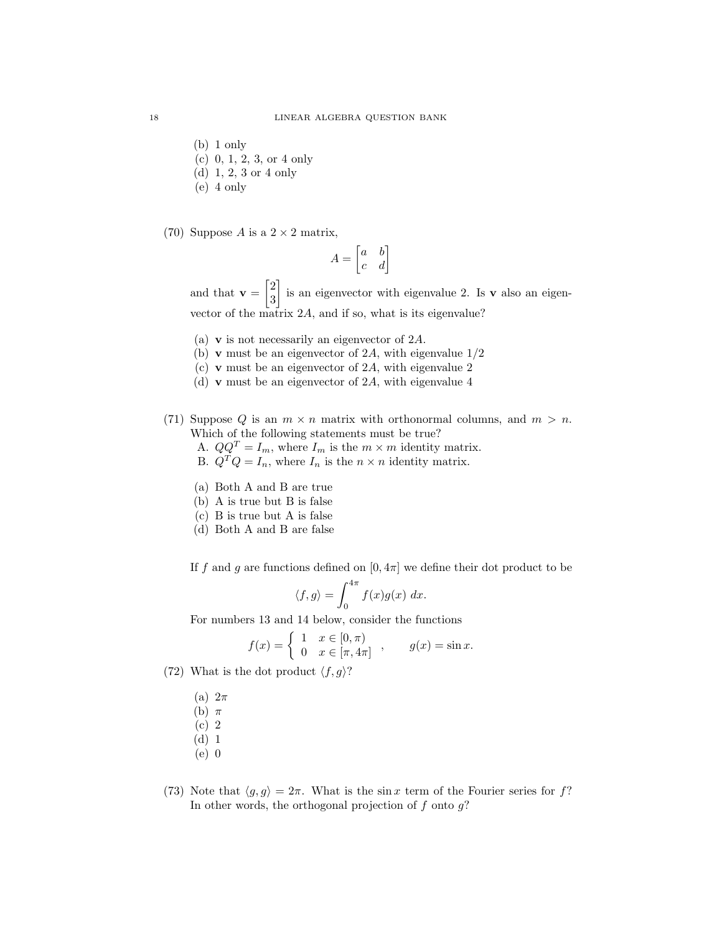- (b) 1 only
- (c) 0, 1, 2, 3, or 4 only
- (d) 1, 2, 3 or 4 only
- (e) 4 only
- (70) Suppose A is a  $2 \times 2$  matrix,

$$
A = \begin{bmatrix} a & b \\ c & d \end{bmatrix}
$$

and that  $\mathbf{v} = \begin{bmatrix} 2 \\ 2 \end{bmatrix}$ 3 is an eigenvector with eigenvalue 2. Is v also an eigenvector of the matrix 2A, and if so, what is its eigenvalue?

- (a) v is not necessarily an eigenvector of 2A.
- (b) **v** must be an eigenvector of 2A, with eigenvalue  $1/2$
- (c) v must be an eigenvector of 2A, with eigenvalue 2
- (d) v must be an eigenvector of 2A, with eigenvalue 4
- (71) Suppose Q is an  $m \times n$  matrix with orthonormal columns, and  $m > n$ . Which of the following statements must be true?
	- A.  $QQ^T = I_m$ , where  $I_m$  is the  $m \times m$  identity matrix.
	- B.  $Q^T Q = I_n$ , where  $I_n$  is the  $n \times n$  identity matrix.
	- (a) Both A and B are true
	- (b) A is true but B is false
	- (c) B is true but A is false
	- (d) Both A and B are false

If f and g are functions defined on  $[0, 4\pi]$  we define their dot product to be

$$
\langle f, g \rangle = \int_0^{4\pi} f(x)g(x) \ dx.
$$

For numbers 13 and 14 below, consider the functions

$$
f(x) = \begin{cases} 1 & x \in [0, \pi) \\ 0 & x \in [\pi, 4\pi] \end{cases}, \qquad g(x) = \sin x.
$$

(72) What is the dot product  $\langle f, g \rangle?$ 

- (a)  $2\pi$
- (b)  $\pi$
- (c) 2
- (d) 1
- (e) 0
- (73) Note that  $\langle g, g \rangle = 2\pi$ . What is the sin x term of the Fourier series for f? In other words, the orthogonal projection of  $f$  onto  $g$ ?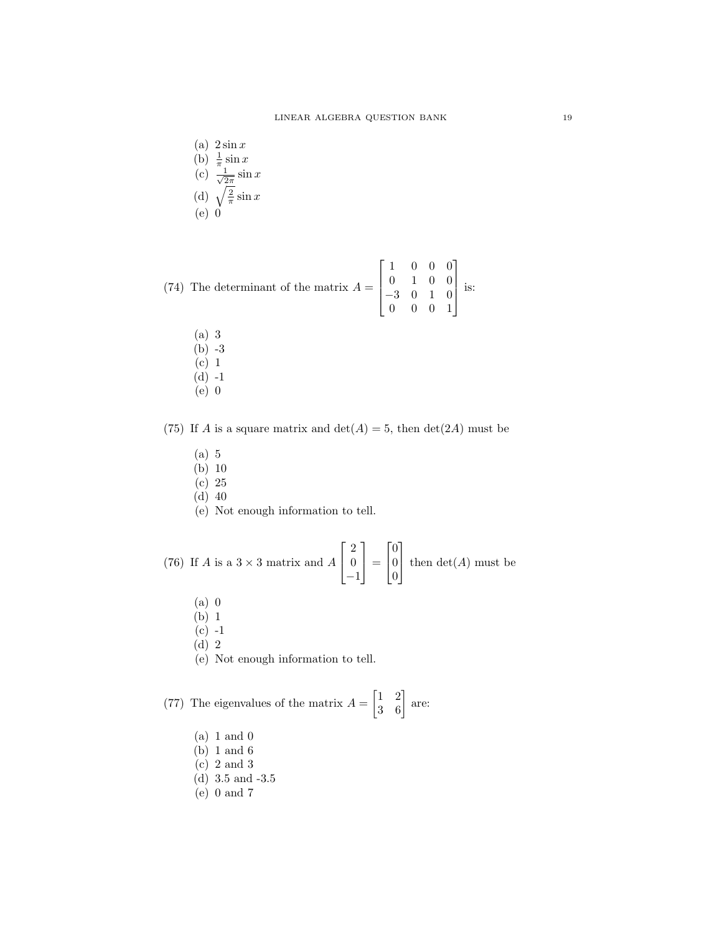(a)  $2 \sin x$ (b)  $\frac{1}{\pi} \sin x$  $(c) \frac{1}{\sqrt{2}}$  $rac{1}{2\pi}$  sin x (d)  $\sqrt{\frac{2}{\pi}}\sin x$ (e) 0

(74) The determinant of the matrix 
$$
A = \begin{bmatrix} 1 & 0 & 0 & 0 \\ 0 & 1 & 0 & 0 \\ -3 & 0 & 1 & 0 \\ 0 & 0 & 0 & 1 \end{bmatrix}
$$
 is:

(a) 3 (b) -3 (c) 1  $(d) -1$  $(e)$  0

(75) If A is a square matrix and  $\det(A) = 5$ , then  $\det(2A)$  must be

- (a) 5
- (b) 10
- (c) 25
- (d) 40
- (e) Not enough information to tell.

(76) If A is a  $3 \times 3$  matrix and A  $\lceil$  $\overline{1}$ 2 0 −1 1  $\vert$  =  $\lceil$  $\overline{1}$  $\overline{0}$ 0 0 1 then  $det(A)$  must be

- (a) 0
- (b) 1
- $(c) -1$
- (d) 2
- (e) Not enough information to tell.

(77) The eigenvalues of the matrix  $A = \begin{bmatrix} 1 & 2 \\ 3 & 6 \end{bmatrix}$  are:

- (a) 1 and 0
- (b) 1 and 6
- (c) 2 and 3
- (d) 3.5 and -3.5
- (e) 0 and 7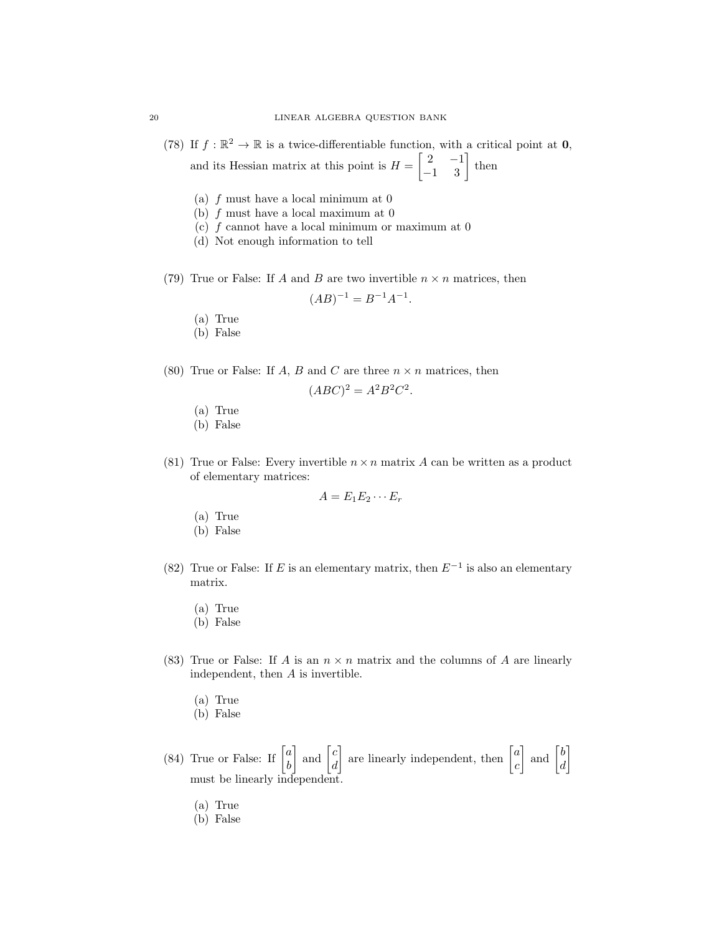(78) If  $f : \mathbb{R}^2 \to \mathbb{R}$  is a twice-differentiable function, with a critical point at **0**, and its Hessian matrix at this point is  $H = \begin{bmatrix} 2 & -1 \\ -1 & 3 \end{bmatrix}$  then

(a) f must have a local minimum at 0

- (b)  $f$  must have a local maximum at  $0$
- (c)  $f$  cannot have a local minimum or maximum at  $0$
- (d) Not enough information to tell
- (79) True or False: If A and B are two invertible  $n \times n$  matrices, then

$$
(AB)^{-1} = B^{-1}A^{-1}.
$$

- (a) True
- (b) False
- (80) True or False: If A, B and C are three  $n \times n$  matrices, then

$$
(ABC)^2 = A^2B^2C^2.
$$

- (a) True
- (b) False
- (81) True or False: Every invertible  $n \times n$  matrix A can be written as a product of elementary matrices:

$$
A=E_1E_2\cdots E_r
$$

- (a) True
- (b) False
- (82) True or False: If E is an elementary matrix, then  $E^{-1}$  is also an elementary matrix.
	- (a) True
	- (b) False
- (83) True or False: If A is an  $n \times n$  matrix and the columns of A are linearly independent, then A is invertible.
	- (a) True
	- (b) False
- (84) True or False: If  $\begin{bmatrix} a \\ b \end{bmatrix}$ b  $\Big]$  and  $\Big[{}_a^c$ d are linearly independent, then  $\begin{bmatrix} a \\ c \end{bmatrix}$ c  $\begin{bmatrix} b \\ d \end{bmatrix}$ d 1 must be linearly independent.
	- (a) True
	- (b) False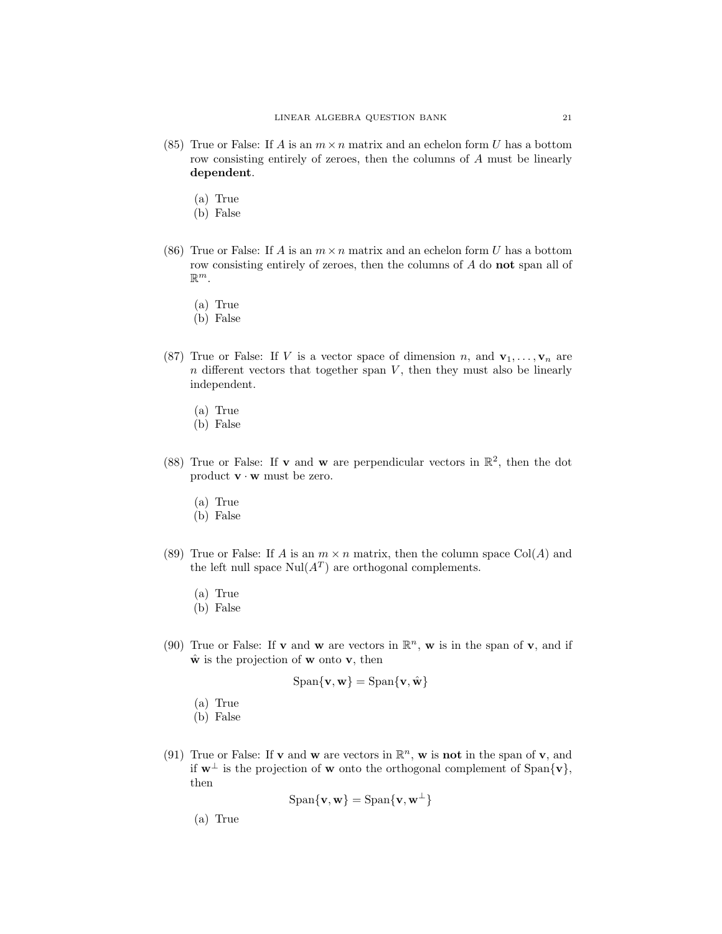- (85) True or False: If A is an  $m \times n$  matrix and an echelon form U has a bottom row consisting entirely of zeroes, then the columns of A must be linearly dependent.
	- (a) True
	- (b) False
- (86) True or False: If A is an  $m \times n$  matrix and an echelon form U has a bottom row consisting entirely of zeroes, then the columns of A do not span all of  $\mathbb{R}^m$ .
	- (a) True
	- (b) False
- (87) True or False: If V is a vector space of dimension n, and  $\mathbf{v}_1, \ldots, \mathbf{v}_n$  are  $n$  different vectors that together span  $V$ , then they must also be linearly independent.
	- (a) True
	- (b) False
- (88) True or False: If **v** and **w** are perpendicular vectors in  $\mathbb{R}^2$ , then the dot product  $\mathbf{v} \cdot \mathbf{w}$  must be zero.
	- (a) True
	- (b) False
- (89) True or False: If A is an  $m \times n$  matrix, then the column space Col(A) and the left null space  $\text{Nul}(A^T)$  are orthogonal complements.
	- (a) True
	- (b) False
- (90) True or False: If **v** and **w** are vectors in  $\mathbb{R}^n$ , **w** is in the span of **v**, and if  $\hat{\mathbf{w}}$  is the projection of **w** onto **v**, then

$$
\text{Span}\{\mathbf{v},\mathbf{w}\} = \text{Span}\{\mathbf{v},\hat{\mathbf{w}}\}
$$

- (a) True
- (b) False
- (91) True or False: If **v** and **w** are vectors in  $\mathbb{R}^n$ , **w** is **not** in the span of **v**, and if  $w<sup>⊥</sup>$  is the projection of w onto the orthogonal complement of Span $\{v\}$ , then

$$
\mathrm{Span}\{\mathbf{v},\mathbf{w}\} = \mathrm{Span}\{\mathbf{v},\mathbf{w}^{\perp}\}
$$

(a) True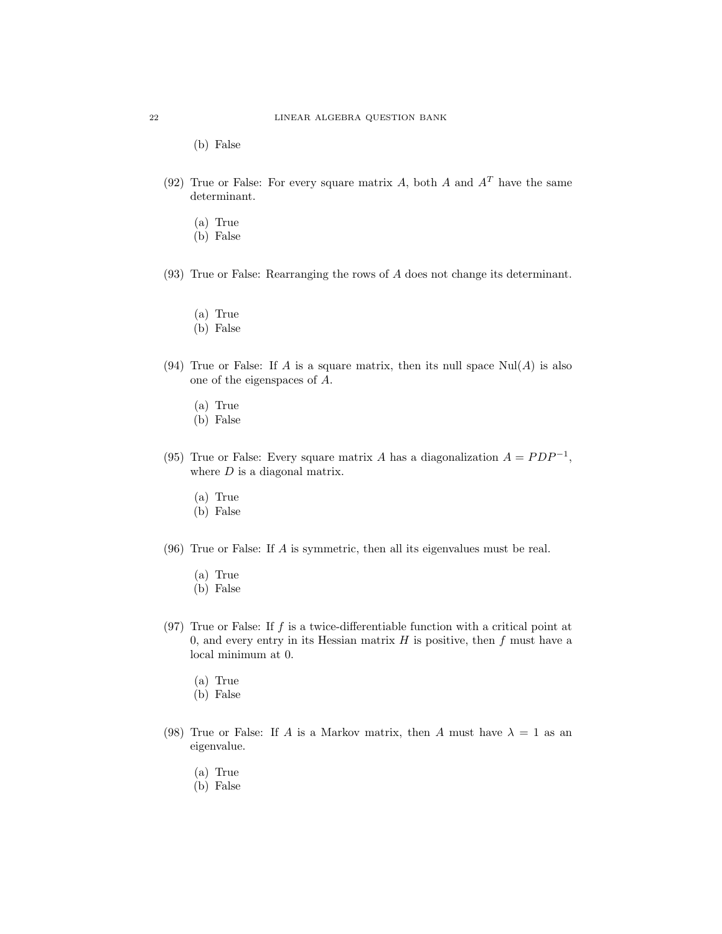(b) False

- (92) True or False: For every square matrix A, both A and  $A<sup>T</sup>$  have the same determinant.
	- (a) True
	- (b) False
- (93) True or False: Rearranging the rows of A does not change its determinant.
	- (a) True
	- (b) False
- (94) True or False: If A is a square matrix, then its null space  $\text{Nul}(A)$  is also one of the eigenspaces of A.
	- (a) True
	- (b) False
- (95) True or False: Every square matrix A has a diagonalization  $A = PDP^{-1}$ , where  $D$  is a diagonal matrix.
	- (a) True
	- (b) False
- (96) True or False: If A is symmetric, then all its eigenvalues must be real.
	- (a) True
	- (b) False
- (97) True or False: If  $f$  is a twice-differentiable function with a critical point at 0, and every entry in its Hessian matrix  $H$  is positive, then  $f$  must have a local minimum at 0.
	- (a) True
	- (b) False
- (98) True or False: If A is a Markov matrix, then A must have  $\lambda = 1$  as an eigenvalue.
	- (a) True
	- (b) False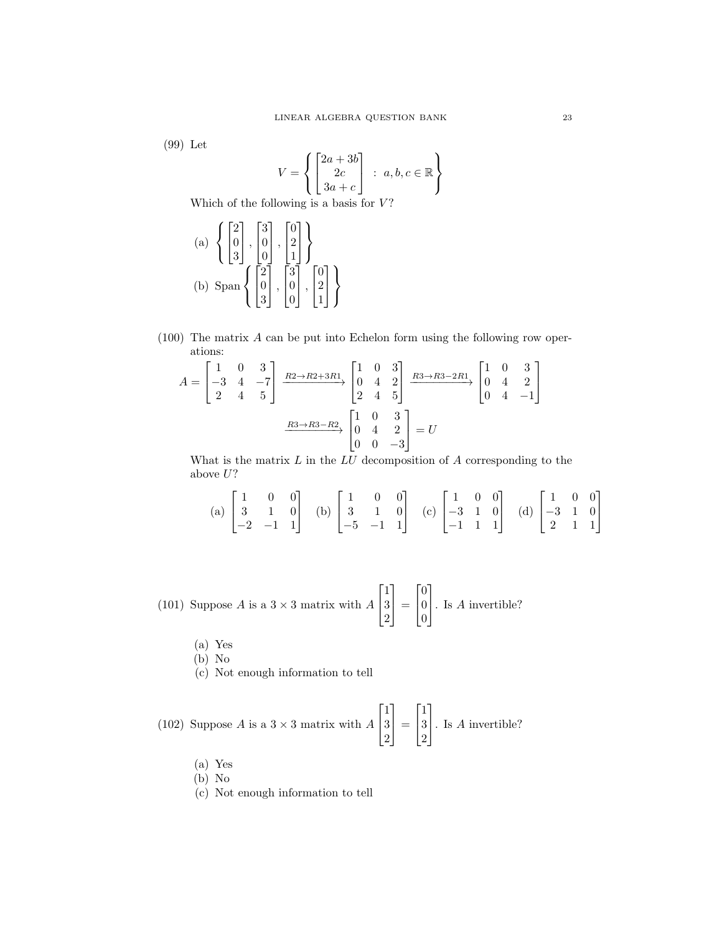(99) Let

$$
V = \left\{ \begin{bmatrix} 2a + 3b \\ 2c \\ 3a + c \end{bmatrix} : a, b, c \in \mathbb{R} \right\}
$$

Which of the following is a basis for  $V$ ?

(a) 
$$
\left\{ \begin{bmatrix} 2 \\ 0 \\ 3 \end{bmatrix}, \begin{bmatrix} 3 \\ 0 \\ 0 \end{bmatrix}, \begin{bmatrix} 0 \\ 2 \\ 1 \end{bmatrix} \right\}
$$
  
(b) 
$$
\text{Span} \left\{ \begin{bmatrix} 2 \\ 0 \\ 3 \end{bmatrix}, \begin{bmatrix} 3 \\ 0 \\ 0 \end{bmatrix}, \begin{bmatrix} 0 \\ 2 \\ 1 \end{bmatrix} \right\}
$$

(100) The matrix A can be put into Echelon form using the following row operations:

$$
A = \begin{bmatrix} 1 & 0 & 3 \\ -3 & 4 & -7 \\ 2 & 4 & 5 \end{bmatrix} \xrightarrow{R2 \to R2 + 3R1} \begin{bmatrix} 1 & 0 & 3 \\ 0 & 4 & 2 \\ 2 & 4 & 5 \end{bmatrix} \xrightarrow{R3 \to R3 - 2R1} \begin{bmatrix} 1 & 0 & 3 \\ 0 & 4 & 2 \\ 0 & 4 & -1 \end{bmatrix}
$$

$$
\xrightarrow{R3 \to R3 - R2} \begin{bmatrix} 1 & 0 & 3 \\ 0 & 4 & 2 \\ 0 & 0 & -3 \end{bmatrix} = U
$$

What is the matrix  $L$  in the  $LU$  decomposition of  $A$  corresponding to the above  $U$ ?

(a) 
$$
\begin{bmatrix} 1 & 0 & 0 \\ 3 & 1 & 0 \\ -2 & -1 & 1 \end{bmatrix}
$$
 (b)  $\begin{bmatrix} 1 & 0 & 0 \\ 3 & 1 & 0 \\ -5 & -1 & 1 \end{bmatrix}$  (c)  $\begin{bmatrix} 1 & 0 & 0 \\ -3 & 1 & 0 \\ -1 & 1 & 1 \end{bmatrix}$  (d)  $\begin{bmatrix} 1 & 0 & 0 \\ -3 & 1 & 0 \\ 2 & 1 & 1 \end{bmatrix}$ 

(101) Suppose A is a 
$$
3 \times 3
$$
 matrix with  $A\begin{bmatrix} 1 \\ 3 \\ 2 \end{bmatrix} = \begin{bmatrix} 0 \\ 0 \\ 0 \end{bmatrix}$ . Is A invertible?

(a) Yes

(b) No

(c) Not enough information to tell

(102) Suppose A is a  $3 \times 3$  matrix with A  $\lceil$  $\overline{\phantom{a}}$ 1 3 2 1  $\vert$  =  $\lceil$  $\overline{1}$ 1 3 2 1 . Is <sup>A</sup> invertible?

- (a) Yes
- (b) No
- (c) Not enough information to tell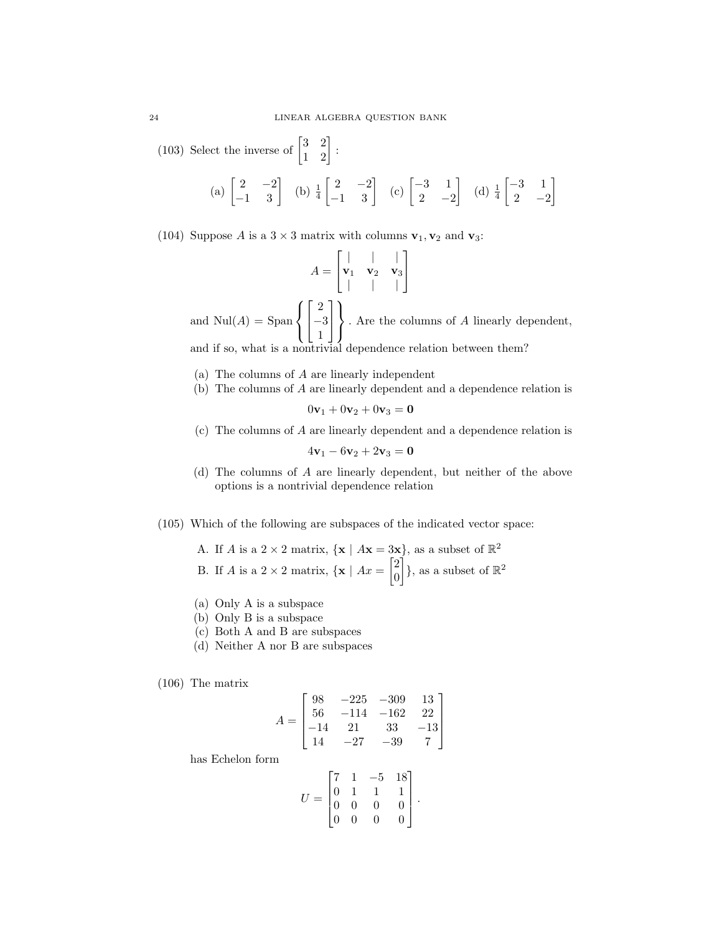(103) Select the inverse of  $\begin{bmatrix} 3 & 2 \\ 1 & 2 \end{bmatrix}$ : (a)  $\begin{bmatrix} 2 & -2 \\ -1 & 3 \end{bmatrix}$  (b)  $\frac{1}{4}$  $\begin{bmatrix} 2 & -2 \\ -1 & 3 \end{bmatrix}$  (c)  $\begin{bmatrix} -3 & 1 \\ 2 & -2 \end{bmatrix}$ 2  $-2$ (d)  $\frac{1}{4}$  $\begin{bmatrix} -3 & 1 \end{bmatrix}$ 2  $-2$ 

1

(104) Suppose A is a  $3 \times 3$  matrix with columns  $v_1, v_2$  and  $v_3$ :

$$
A = \begin{bmatrix} | & | & | \\ \mathbf{v}_1 & \mathbf{v}_2 & \mathbf{v}_3 \\ | & | & | & | \end{bmatrix}
$$

and  $\text{Nul}(A) = \text{Span}$  $\sqrt{ }$ J  $\mathcal{L}$  $\lceil$  $\overline{1}$ 2 −3 1 1  $\overline{1}$  $\mathcal{L}$  $\mathcal{L}$ J . Are the columns of A linearly dependent, and if so, what is a nontrivial dependence relation between them?

- (a) The columns of A are linearly independent
- (b) The columns of A are linearly dependent and a dependence relation is

 $0v_1 + 0v_2 + 0v_3 = 0$ 

(c) The columns of A are linearly dependent and a dependence relation is

$$
4\mathbf{v}_1 - 6\mathbf{v}_2 + 2\mathbf{v}_3 = \mathbf{0}
$$

- (d) The columns of A are linearly dependent, but neither of the above options is a nontrivial dependence relation
- (105) Which of the following are subspaces of the indicated vector space:

A. If *A* is a 2 × 2 matrix, {**x** | 
$$
A
$$
**x** = 3**x**}, as a subset of  $\mathbb{R}^2$   
B. If *A* is a 2 × 2 matrix, {**x** |  $A$ **x** =  $\begin{bmatrix} 2 \\ 0 \end{bmatrix}$ }, as a subset of  $\mathbb{R}^2$ 

- (a) Only A is a subspace
- (b) Only B is a subspace
- (c) Both A and B are subspaces
- (d) Neither A nor B are subspaces

(106) The matrix

$$
A = \begin{bmatrix} 98 & -225 & -309 & 13 \\ 56 & -114 & -162 & 22 \\ -14 & 21 & 33 & -13 \\ 14 & -27 & -39 & 7 \end{bmatrix}
$$

has Echelon form

$$
U = \begin{bmatrix} 7 & 1 & -5 & 18 \\ 0 & 1 & 1 & 1 \\ 0 & 0 & 0 & 0 \\ 0 & 0 & 0 & 0 \end{bmatrix}.
$$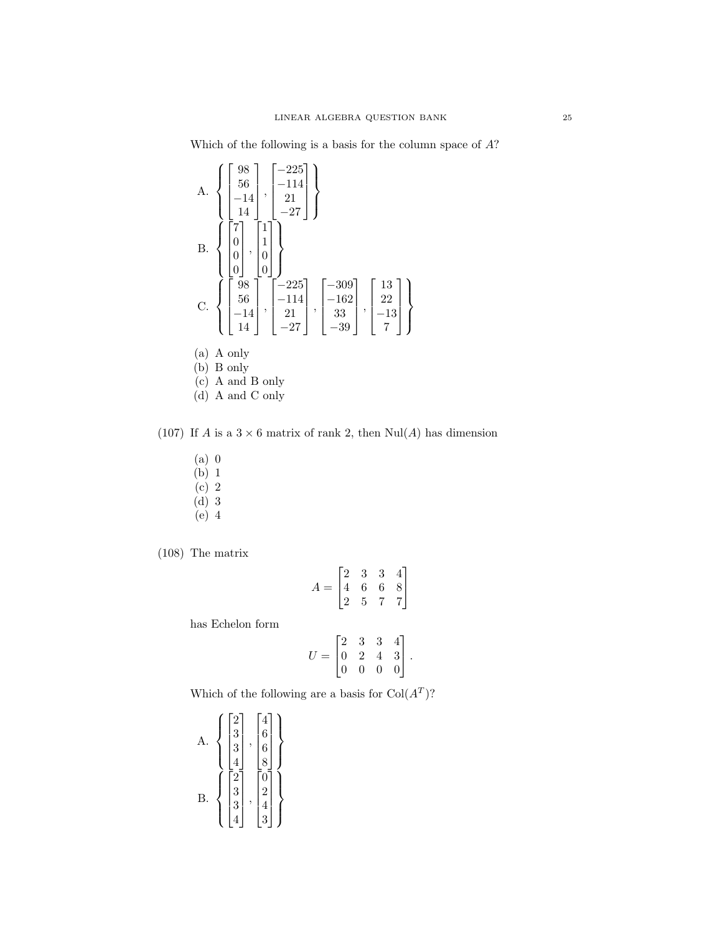Which of the following is a basis for the column space of A?

A. 
$$
\left\{ \begin{bmatrix} 98 \\ 56 \\ -14 \\ -14 \\ 14 \end{bmatrix}, \begin{bmatrix} -225 \\ -114 \\ 21 \\ -27 \end{bmatrix} \right\}
$$
  
B. 
$$
\left\{ \begin{bmatrix} 7 \\ 0 \\ 0 \\ 0 \end{bmatrix}, \begin{bmatrix} 1 \\ 1 \\ 0 \\ 0 \end{bmatrix} \right\}
$$
  
C. 
$$
\left\{ \begin{bmatrix} 98 \\ 0 \\ 56 \\ -14 \\ 14 \end{bmatrix}, \begin{bmatrix} -225 \\ -114 \\ 21 \\ -27 \end{bmatrix}, \begin{bmatrix} -309 \\ -162 \\ 33 \\ -39 \end{bmatrix}, \begin{bmatrix} 13 \\ 22 \\ -13 \\ 7 \end{bmatrix} \right\}
$$
  
(a) A only  
(b) B only  
(c) A and B only

(d) A and C only

(107) If A is a  $3 \times 6$  matrix of rank 2, then  $\text{Nul}(A)$  has dimension

- (a) 0
- $(b)$  1
- $(c)$  2
- (d) 3
- (e) 4

(108) The matrix

$$
A = \begin{bmatrix} 2 & 3 & 3 & 4 \\ 4 & 6 & 6 & 8 \\ 2 & 5 & 7 & 7 \end{bmatrix}
$$

has Echelon form

$$
U = \begin{bmatrix} 2 & 3 & 3 & 4 \\ 0 & 2 & 4 & 3 \\ 0 & 0 & 0 & 0 \end{bmatrix}.
$$

Which of the following are a basis for  $Col(A^T)$ ?

A. 
$$
\left\{ \begin{bmatrix} 2 \\ 3 \\ 3 \\ 4 \end{bmatrix}, \begin{bmatrix} 4 \\ 6 \\ 6 \\ 8 \end{bmatrix} \right\}
$$
  
B. 
$$
\left\{ \begin{bmatrix} 2 \\ 2 \\ 3 \\ 3 \end{bmatrix}, \begin{bmatrix} 0 \\ 0 \\ 2 \\ 4 \end{bmatrix} \right\}
$$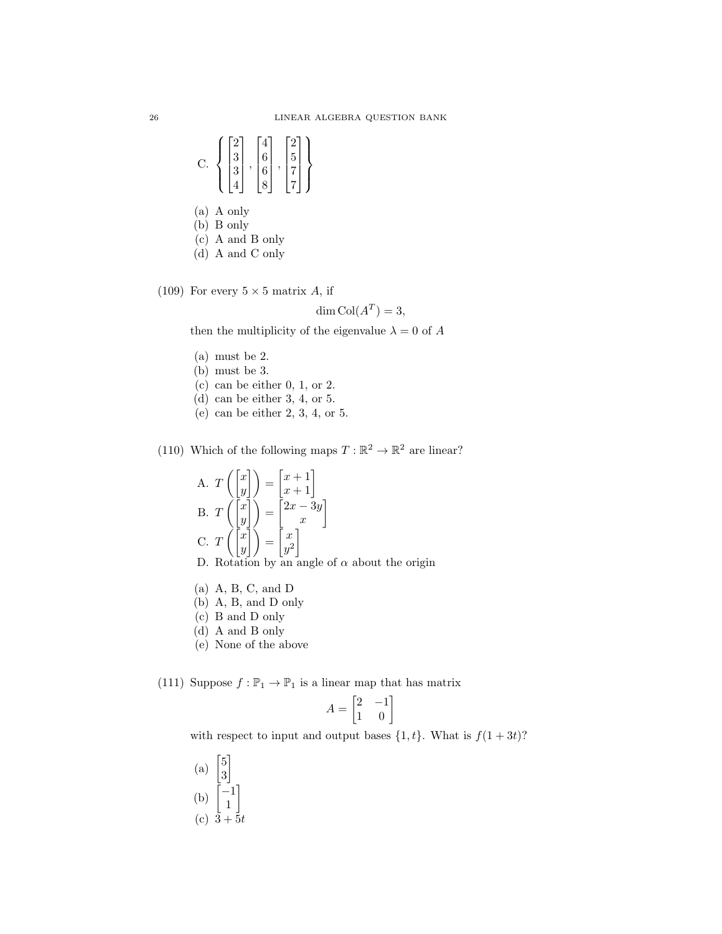- C.  $\sqrt{ }$  $\int$  $\overline{a}$  $\sqrt{ }$  $\Big\}$ 2 3 3 4 1  $\Big\}$ ,  $\sqrt{ }$  $\Big\}$ 4 6 6 8 1  $\begin{matrix} \phantom{-} \end{matrix}$ ,  $\sqrt{ }$  $\Big\}$ 2 5 7 7 1  $\cdot$  $\mathcal{L}$  $\overline{\mathcal{L}}$  $\int$
- (a) A only
- (b) B only
- (c) A and B only
- (d) A and C only

(109) For every  $5 \times 5$  matrix A, if

$$
\dim \text{Col}(A^T) = 3,
$$

then the multiplicity of the eigenvalue  $\lambda = 0$  of  $A$ 

- (a) must be 2.
- (b) must be 3.
- (c) can be either 0, 1, or 2.
- (d) can be either 3, 4, or 5.
- (e) can be either 2, 3, 4, or 5.

(110) Which of the following maps  $T : \mathbb{R}^2 \to \mathbb{R}^2$  are linear?

A. 
$$
T\begin{pmatrix} x \\ y \end{pmatrix} = \begin{bmatrix} x+1 \\ x+1 \end{bmatrix}
$$
  
\nB.  $T\begin{pmatrix} x \\ y \end{pmatrix} = \begin{bmatrix} 2x-3y \\ x \end{bmatrix}$   
\nC.  $T\begin{pmatrix} x \\ y \end{pmatrix} = \begin{bmatrix} x \\ y^2 \end{bmatrix}$ 

- D. Rotation by an angle of  $\alpha$  about the origin
- (a) A, B, C, and D
- (b) A, B, and D only
- (c) B and D only
- (d) A and B only
- (e) None of the above

(111) Suppose  $f: \mathbb{P}_1 \to \mathbb{P}_1$  is a linear map that has matrix

$$
A = \begin{bmatrix} 2 & -1 \\ 1 & 0 \end{bmatrix}
$$

with respect to input and output bases  $\{1, t\}$ . What is  $f(1+3t)$ ?

(a)  $\begin{bmatrix} 5 \\ 2 \end{bmatrix}$ 3 1 (b)  $\begin{bmatrix} -1 \\ 1 \end{bmatrix}$ 1 1 (c)  $3 + 5t$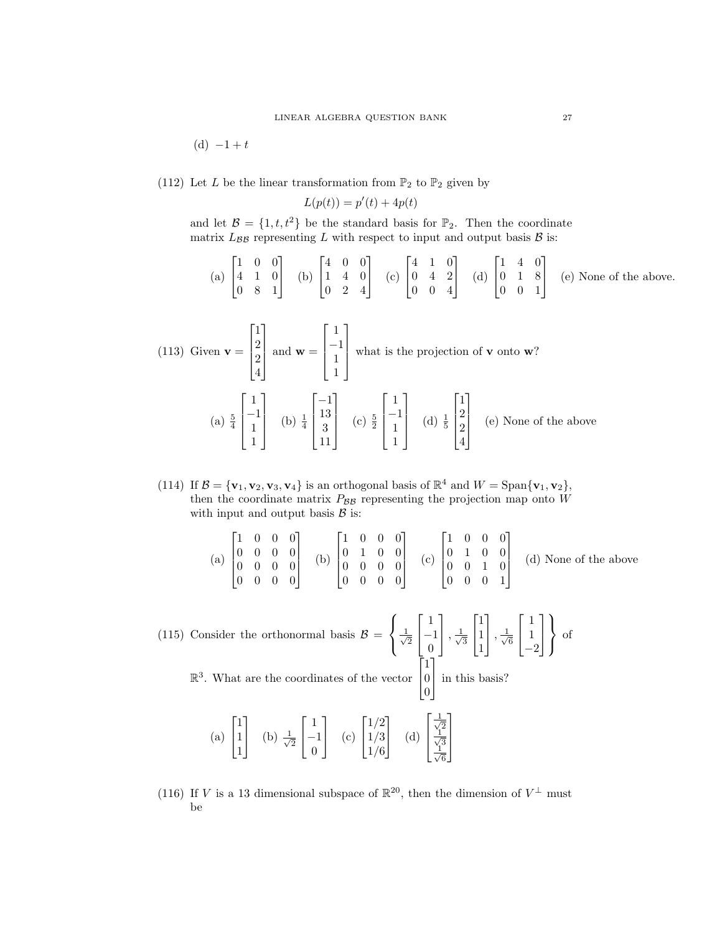(d)  $-1 + t$ 

(112) Let  $L$  be the linear transformation from  $\mathbb{P}_2$  to  $\mathbb{P}_2$  given by

$$
L(p(t)) = p'(t) + 4p(t)
$$

and let  $\mathcal{B} = \{1, t, t^2\}$  be the standard basis for  $\mathbb{P}_2$ . Then the coordinate matrix  $L_{\beta\beta}$  representing L with respect to input and output basis  $\beta$  is:

(a) 
$$
\begin{bmatrix} 1 & 0 & 0 \\ 4 & 1 & 0 \\ 0 & 8 & 1 \end{bmatrix}
$$
 (b)  $\begin{bmatrix} 4 & 0 & 0 \\ 1 & 4 & 0 \\ 0 & 2 & 4 \end{bmatrix}$  (c)  $\begin{bmatrix} 4 & 1 & 0 \\ 0 & 4 & 2 \\ 0 & 0 & 4 \end{bmatrix}$  (d)  $\begin{bmatrix} 1 & 4 & 0 \\ 0 & 1 & 8 \\ 0 & 0 & 1 \end{bmatrix}$  (e) None of the above.

(113) Given 
$$
\mathbf{v} = \begin{bmatrix} 1 \\ 2 \\ 2 \\ 4 \end{bmatrix}
$$
 and  $\mathbf{w} = \begin{bmatrix} 1 \\ -1 \\ 1 \\ 1 \end{bmatrix}$  what is the projection of **v** onto **w**?  
\n(a)  $\frac{5}{4} \begin{bmatrix} 1 \\ -1 \\ 1 \\ 1 \end{bmatrix}$  (b)  $\frac{1}{4} \begin{bmatrix} -1 \\ 13 \\ 3 \\ 11 \end{bmatrix}$  (c)  $\frac{5}{2} \begin{bmatrix} 1 \\ -1 \\ 1 \\ 1 \end{bmatrix}$  (d)  $\frac{1}{5} \begin{bmatrix} 1 \\ 2 \\ 2 \\ 4 \end{bmatrix}$  (e) None of the above

(114) If  $\mathcal{B} = {\mathbf{v}_1, \mathbf{v}_2, \mathbf{v}_3, \mathbf{v}_4}$  is an orthogonal basis of  $\mathbb{R}^4$  and  $W = \text{Span}\{\mathbf{v}_1, \mathbf{v}_2\}$ , then the coordinate matrix  $P_{\beta\beta}$  representing the projection map onto W with input and output basis  $\beta$  is:

|  |  |  |  |  |  |  |  |  |  |  | 1000 |  |  |  |  | (a) $\begin{bmatrix} 1 & 0 & 0 & 0 \\ 0 & 0 & 0 & 0 \\ 0 & 0 & 0 & 0 \\ 0 & 0 & 0 & 0 \end{bmatrix}$ (b) $\begin{bmatrix} 1 & 0 & 0 & 0 \\ 0 & 1 & 0 & 0 \\ 0 & 0 & 0 & 0 \\ 0 & 0 & 0 & 0 \end{bmatrix}$ (c) $\begin{bmatrix} 1 & 0 & 0 & 0 \\ 0 & 1 & 0 & 0 \\ 0 & 0 & 1 & 0 \\ 0 & 0 & 0 & 1 \end{bmatrix}$ (d) None of the above |
|--|--|--|--|--|--|--|--|--|--|--|------|--|--|--|--|--------------------------------------------------------------------------------------------------------------------------------------------------------------------------------------------------------------------------------------------------------------------------------------------------------------------------------------|
|--|--|--|--|--|--|--|--|--|--|--|------|--|--|--|--|--------------------------------------------------------------------------------------------------------------------------------------------------------------------------------------------------------------------------------------------------------------------------------------------------------------------------------------|

(115) Consider the orthonormal basis  $\mathcal{B} =$  $\sqrt{ }$ J  $\mathcal{L}$  $\frac{1}{2}$ 2  $\sqrt{ }$  $\overline{\phantom{a}}$ 1 −1 0 1  $\left| \frac{1}{\sqrt{2}}\right|$ 3  $\lceil$  $\overline{1}$ 1 1 1 1  $\left| \frac{1}{\sqrt{2}}\right|$ 6  $\sqrt{ }$  $\overline{\phantom{a}}$ 1 1 −2 1  $\vert$  $\mathcal{L}$  $\mathcal{L}$ J of  $\lceil$ 1 1

R 3 . What are the coordinates of the vector  $\overline{\phantom{a}}$ 0 0 in this basis?

(a) 
$$
\begin{bmatrix} 1 \\ 1 \\ 1 \end{bmatrix}
$$
 (b)  $\frac{1}{\sqrt{2}} \begin{bmatrix} 1 \\ -1 \\ 0 \end{bmatrix}$  (c)  $\begin{bmatrix} 1/2 \\ 1/3 \\ 1/6 \end{bmatrix}$  (d)  $\begin{bmatrix} \frac{1}{\sqrt{2}} \\ \frac{1}{\sqrt{6}} \\ \frac{1}{\sqrt{6}} \end{bmatrix}$ 

(116) If V is a 13 dimensional subspace of  $\mathbb{R}^{20}$ , then the dimension of  $V^{\perp}$  must be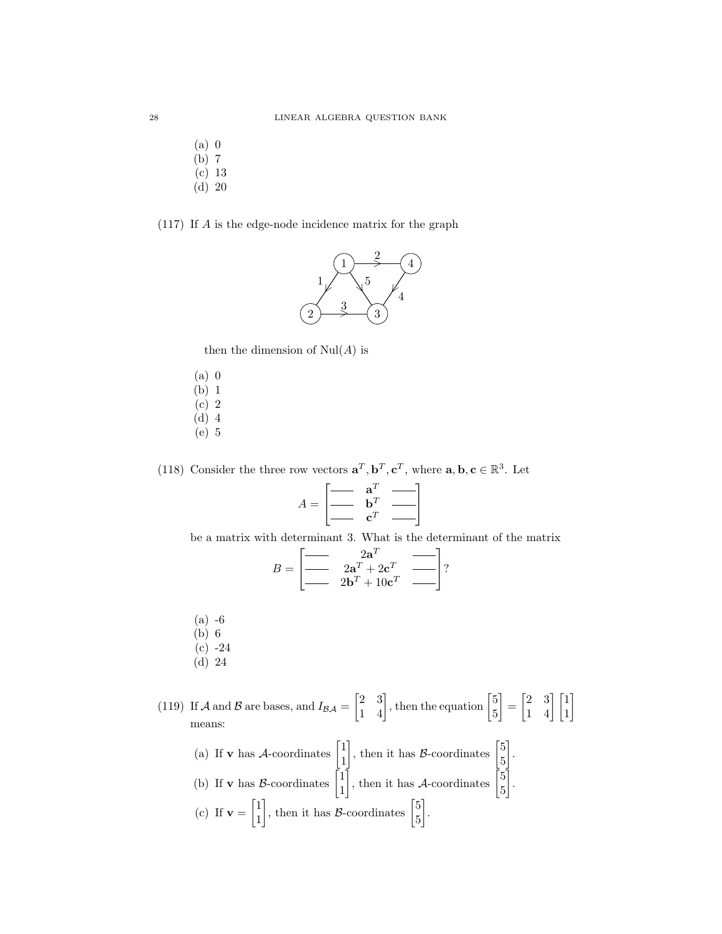- (a) 0 (b) 7
- (c) 13
- (d) 20

### (117) If A is the edge-node incidence matrix for the graph



then the dimension of  $\mathrm{Nul}(A)$  is

- (a) 0 (b) 1  $(c)$  2
- (d) 4
- (e) 5

(118) Consider the three row vectors  $\mathbf{a}^T, \mathbf{b}^T, \mathbf{c}^T$ , where  $\mathbf{a}, \mathbf{b}, \mathbf{c} \in \mathbb{R}^3$ . Let

$$
A = \begin{bmatrix} \begin{array}{c} \mathbf{a}^T \\ \mathbf{b}^T \end{array} & \begin{array}{c} \mathbf{a}^T \\ \mathbf{c}^T \end{array} \end{bmatrix}
$$

be a matrix with determinant 3. What is the determinant of the matrix

$$
B = \begin{bmatrix} \text{2a}^T & \text{2b}^T \\ \text{2a}^T + 2\mathbf{c}^T & \text{2b}^T \end{bmatrix}
$$
?

- (a) -6
- (b) 6
- (c) -24
- (d) 24

(119) If A and B are bases, and  $I_{BA} = \begin{bmatrix} 2 & 3 \\ 1 & 4 \end{bmatrix}$ , then the equation  $\begin{bmatrix} 5 & 5 \\ 5 & 1 \end{bmatrix}$ 5  $\begin{bmatrix} 2 & 3 \\ 1 & 4 \end{bmatrix} \begin{bmatrix} 1 \\ 1 \end{bmatrix}$ 1 means:

(a) If **v** has *A*-coordinates 
$$
\begin{bmatrix} 1 \\ 1 \end{bmatrix}
$$
, then it has *B*-coordinates  $\begin{bmatrix} 5 \\ 5 \end{bmatrix}$ .  
\n(b) If **v** has *B*-coordinates  $\begin{bmatrix} 1 \\ 1 \end{bmatrix}$ , then it has *A*-coordinates  $\begin{bmatrix} 5 \\ 5 \end{bmatrix}$ .  
\n(c) If **v** =  $\begin{bmatrix} 1 \\ 1 \end{bmatrix}$ , then it has *B*-coordinates  $\begin{bmatrix} 5 \\ 5 \end{bmatrix}$ .